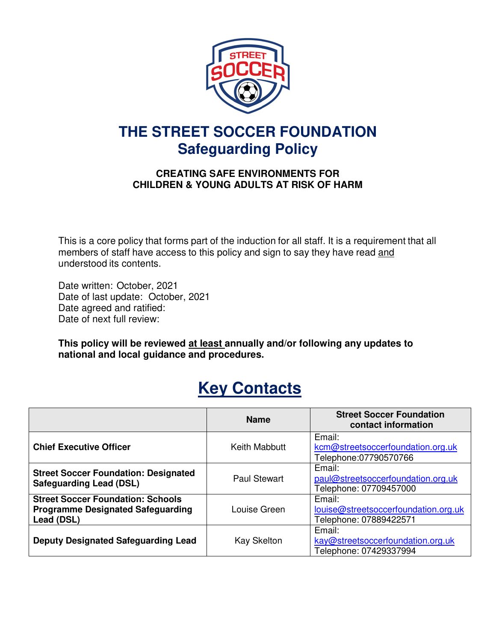

# **THE STREET SOCCER FOUNDATION Safeguarding Policy**

# **CREATING SAFE ENVIRONMENTS FOR CHILDREN & YOUNG ADULTS AT RISK OF HARM**

This is a core policy that forms part of the induction for all staff. It is a requirement that all members of staff have access to this policy and sign to say they have read and understood its contents.

Date written: October, 2021 Date of last update: October, 2021 Date agreed and ratified: Date of next full review:

**This policy will be reviewed at least annually and/or following any updates to national and local guidance and procedures.**

# **Key Contacts**

|                                                                                                    | <b>Name</b>        | <b>Street Soccer Foundation</b><br>contact information                   |
|----------------------------------------------------------------------------------------------------|--------------------|--------------------------------------------------------------------------|
| <b>Chief Executive Officer</b>                                                                     | Keith Mabbutt      | Email:<br>kcm@streetsoccerfoundation.org.uk<br>Telephone:07790570766     |
| <b>Street Soccer Foundation: Designated</b><br><b>Safeguarding Lead (DSL)</b>                      | Paul Stewart       | Email:<br>paul@streetsoccerfoundation.org.uk<br>Telephone: 07709457000   |
| <b>Street Soccer Foundation: Schools</b><br><b>Programme Designated Safeguarding</b><br>Lead (DSL) | Louise Green       | Email:<br>louise@streetsoccerfoundation.org.uk<br>Telephone: 07889422571 |
| <b>Deputy Designated Safeguarding Lead</b>                                                         | <b>Kay Skelton</b> | Email:<br>kay@streetsoccerfoundation.org.uk<br>Telephone: 07429337994    |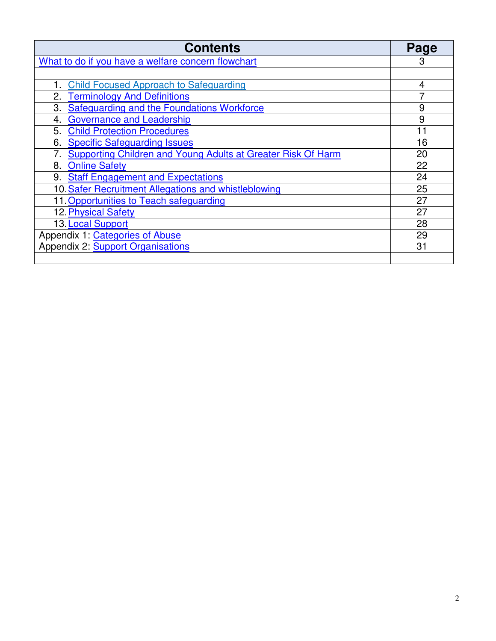| <b>Contents</b>                                                    | Page |
|--------------------------------------------------------------------|------|
| What to do if you have a welfare concern flowchart                 | 3    |
|                                                                    |      |
| <b>Child Focused Approach to Safeguarding</b>                      | 4    |
| <b>Terminology And Definitions</b>                                 |      |
| Safeguarding and the Foundations Workforce<br>3.                   | 9    |
| <b>Governance and Leadership</b><br>4.                             | 9    |
| <b>Child Protection Procedures</b><br>5.                           |      |
| <b>Specific Safeguarding Issues</b><br>6.                          | 16   |
| Supporting Children and Young Adults at Greater Risk Of Harm<br>7. | 20   |
| 8.<br><b>Online Safety</b>                                         | 22   |
| 9. Staff Engagement and Expectations                               | 24   |
| 10. Safer Recruitment Allegations and whistleblowing               | 25   |
| 11. Opportunities to Teach safeguarding                            | 27   |
| 12. Physical Safety                                                | 27   |
| 13. Local Support                                                  | 28   |
| Appendix 1: Categories of Abuse                                    | 29   |
| <b>Appendix 2: Support Organisations</b>                           | 31   |
|                                                                    |      |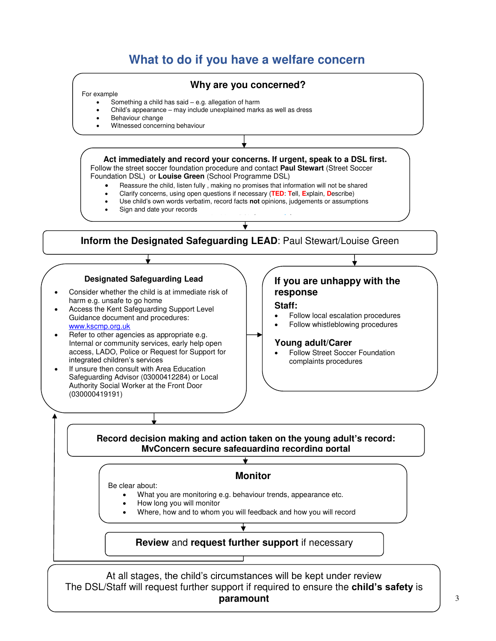# **What to do if you have a welfare concern**

#### <span id="page-2-0"></span>**Act immediately and record your concerns. If urgent, speak to a DSL first.**  Follow the street soccer foundation procedure and contact **Paul Stewart** (Street Soccer Foundation DSL) or **Louise Green** (School Programme DSL) Reassure the child, listen fully , making no promises that information will not be shared Clarify concerns, using open questions if necessary (**TED**: **T**ell, **E**xplain, **D**escribe) Use child's own words verbatim, record facts **not** opinions, judgements or assumptions Sign and date your records  $S_{\rm eff}$  support for your seek support for  $\sigma$  and  $\sigma$ **Inform the Designated Safeguarding LEAD**: Paul Stewart/Louise Green  $\overline{a}$ **Designated Safeguarding Lead**  Consider whether the child is at immediate risk of harm e.g. unsafe to go home Access the Kent Safeguarding Support Level Guidance document and procedures: [www.kscmp.org.uk](http://www.kscmp.org.uk/)  Refer to other agencies as appropriate e.g. Internal or community services, early help open access, LADO, Police or Request for Support for integrated children's services If unsure then consult with Area Education Safeguarding Advisor (03000412284) or Local **If you are unhappy with the response Staff:**  Follow local escalation procedures Follow whistleblowing procedures **Young adult/Carer**  Follow Street Soccer Foundation complaints procedures **Why are you concerned?**  For example Something a child has said – e.g. allegation of harm Child's appearance – may include unexplained marks as well as dress Behaviour change Witnessed concerning behaviour

#### **Record decision making and action taken on the young adult's record: MyConcern secure safeguarding recording portal**   $\overline{\textbf{t}}$

#### **Monitor**

Be clear about:

Authority Social Worker at the Front Door

(030000419191)

- What you are monitoring e.g. behaviour trends, appearance etc.
- How long you will monitor
- Where, how and to whom you will feedback and how you will record

# **Review** and **request further support** if necessary

At all stages, the child's circumstances will be kept under review The DSL/Staff will request further support if required to ensure the **child's safety** is **paramount**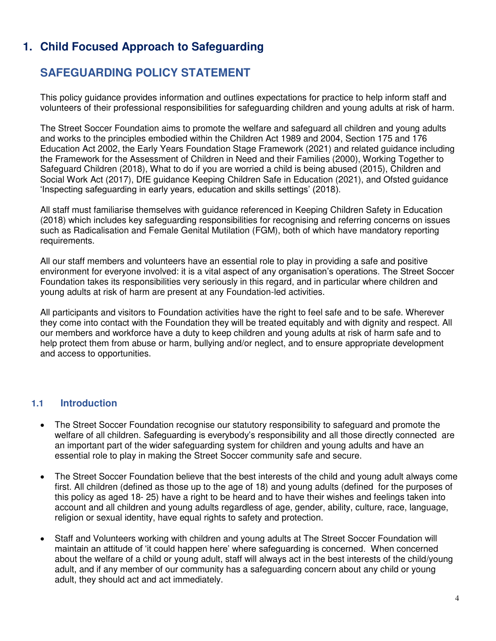# **1. Child Focused Approach to Safeguarding**

# <span id="page-3-0"></span>**SAFEGUARDING POLICY STATEMENT**

This policy guidance provides information and outlines expectations for practice to help inform staff and volunteers of their professional responsibilities for safeguarding children and young adults at risk of harm.

The Street Soccer Foundation aims to promote the welfare and safeguard all children and young adults and works to the principles embodied within the Children Act 1989 and 2004, Section 175 and 176 Education Act 2002, the Early Years Foundation Stage Framework (2021) and related guidance including the Framework for the Assessment of Children in Need and their Families (2000), Working Together to Safeguard Children (2018), What to do if you are worried a child is being abused (2015), Children and Social Work Act (2017), DfE guidance Keeping Children Safe in Education (2021), and Ofsted guidance 'Inspecting safeguarding in early years, education and skills settings' (2018).

All staff must familiarise themselves with guidance referenced in Keeping Children Safety in Education (2018) which includes key safeguarding responsibilities for recognising and referring concerns on issues such as Radicalisation and Female Genital Mutilation (FGM), both of which have mandatory reporting requirements.

All our staff members and volunteers have an essential role to play in providing a safe and positive environment for everyone involved: it is a vital aspect of any organisation's operations. The Street Soccer Foundation takes its responsibilities very seriously in this regard, and in particular where children and young adults at risk of harm are present at any Foundation-led activities.

All participants and visitors to Foundation activities have the right to feel safe and to be safe. Wherever they come into contact with the Foundation they will be treated equitably and with dignity and respect. All our members and workforce have a duty to keep children and young adults at risk of harm safe and to help protect them from abuse or harm, bullying and/or neglect, and to ensure appropriate development and access to opportunities.

# **1.1 Introduction**

- The Street Soccer Foundation recognise our statutory responsibility to safeguard and promote the welfare of all children. Safeguarding is everybody's responsibility and all those directly connected are an important part of the wider safeguarding system for children and young adults and have an essential role to play in making the Street Soccer community safe and secure.
- The Street Soccer Foundation believe that the best interests of the child and young adult always come first. All children (defined as those up to the age of 18) and young adults (defined for the purposes of this policy as aged 18- 25) have a right to be heard and to have their wishes and feelings taken into account and all children and young adults regardless of age, gender, ability, culture, race, language, religion or sexual identity, have equal rights to safety and protection.
- Staff and Volunteers working with children and young adults at The Street Soccer Foundation will maintain an attitude of 'it could happen here' where safeguarding is concerned. When concerned about the welfare of a child or young adult, staff will always act in the best interests of the child/young adult, and if any member of our community has a safeguarding concern about any child or young adult, they should act and act immediately.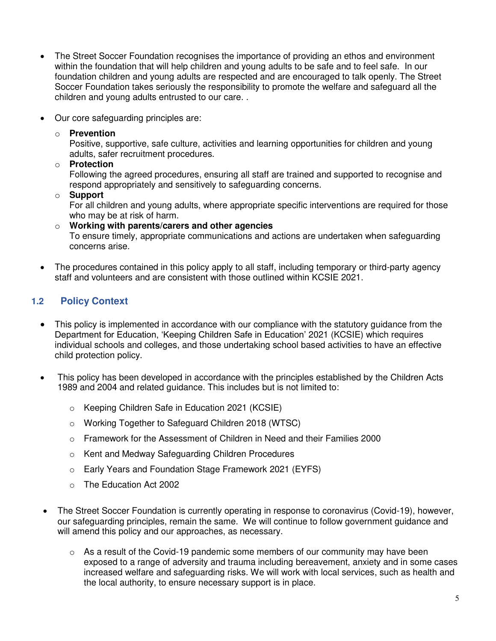- The Street Soccer Foundation recognises the importance of providing an ethos and environment within the foundation that will help children and young adults to be safe and to feel safe. In our foundation children and young adults are respected and are encouraged to talk openly. The Street Soccer Foundation takes seriously the responsibility to promote the welfare and safeguard all the children and young adults entrusted to our care. .
- Our core safeguarding principles are:
	- o **Prevention**

Positive, supportive, safe culture, activities and learning opportunities for children and young adults, safer recruitment procedures.

o **Protection**

Following the agreed procedures, ensuring all staff are trained and supported to recognise and respond appropriately and sensitively to safeguarding concerns.

o **Support**

For all children and young adults, where appropriate specific interventions are required for those who may be at risk of harm.

- o **Working with parents/carers and other agencies** To ensure timely, appropriate communications and actions are undertaken when safeguarding concerns arise.
- The procedures contained in this policy apply to all staff, including temporary or third-party agency staff and volunteers and are consistent with those outlined within KCSIE 2021.

# **1.2 Policy Context**

- This policy is implemented in accordance with our compliance with the statutory guidance from the Department for Education, 'Keeping Children Safe in Education' 2021 (KCSIE) which requires individual schools and colleges, and those undertaking school based activities to have an effective child protection policy.
- This policy has been developed in accordance with the principles established by the Children Acts 1989 and 2004 and related guidance. This includes but is not limited to:
	- o Keeping Children Safe in Education 2021 (KCSIE)
	- o Working Together to Safeguard Children 2018 (WTSC)
	- o Framework for the Assessment of Children in Need and their Families 2000
	- o Kent and Medway Safeguarding Children Procedures
	- o Early Years and Foundation Stage Framework 2021 (EYFS)
	- o The Education Act 2002
- The Street Soccer Foundation is currently operating in response to coronavirus (Covid-19), however, our safeguarding principles, remain the same. We will continue to follow government guidance and will amend this policy and our approaches, as necessary.
	- o As a result of the Covid-19 pandemic some members of our community may have been exposed to a range of adversity and trauma including bereavement, anxiety and in some cases increased welfare and safeguarding risks. We will work with local services, such as health and the local authority, to ensure necessary support is in place.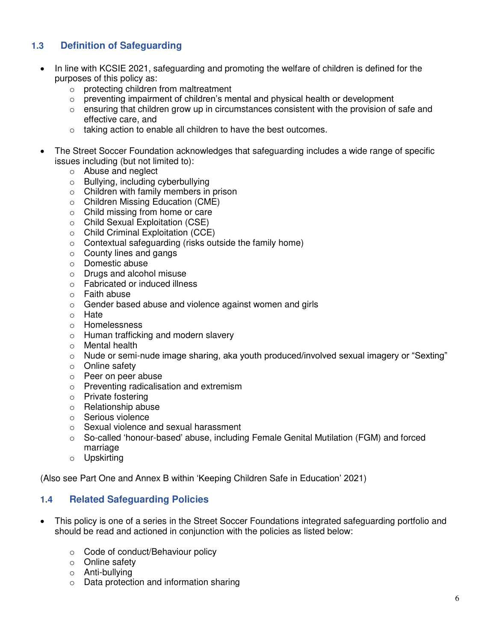# **1.3 Definition of Safeguarding**

- In line with KCSIE 2021, safeguarding and promoting the welfare of children is defined for the purposes of this policy as:
	- o protecting children from maltreatment
	- $\circ$  preventing impairment of children's mental and physical health or development
	- $\circ$  ensuring that children grow up in circumstances consistent with the provision of safe and effective care, and
	- o taking action to enable all children to have the best outcomes.
- The Street Soccer Foundation acknowledges that safeguarding includes a wide range of specific issues including (but not limited to):
	- o Abuse and neglect
	- o Bullying, including cyberbullying
	- o Children with family members in prison
	- o Children Missing Education (CME)
	- o Child missing from home or care
	- o Child Sexual Exploitation (CSE)
	- o Child Criminal Exploitation (CCE)
	- o Contextual safeguarding (risks outside the family home)
	- o County lines and gangs
	- o Domestic abuse
	- o Drugs and alcohol misuse
	- o Fabricated or induced illness
	- o Faith abuse
	- o Gender based abuse and violence against women and girls
	- o Hate
	- o Homelessness
	- o Human trafficking and modern slavery
	- o Mental health
	- o Nude or semi-nude image sharing, aka youth produced/involved sexual imagery or "Sexting"
	- o Online safety
	- o Peer on peer abuse
	- o Preventing radicalisation and extremism
	- o Private fostering
	- o Relationship abuse
	- o Serious violence
	- o Sexual violence and sexual harassment
	- o So-called 'honour-based' abuse, including Female Genital Mutilation (FGM) and forced marriage
	- o Upskirting

(Also see Part One and Annex B within 'Keeping Children Safe in Education' 2021)

# **1.4 Related Safeguarding Policies**

- This policy is one of a series in the Street Soccer Foundations integrated safeguarding portfolio and should be read and actioned in conjunction with the policies as listed below:
	- o Code of conduct/Behaviour policy
	- o Online safety
	- o Anti-bullying
	- o Data protection and information sharing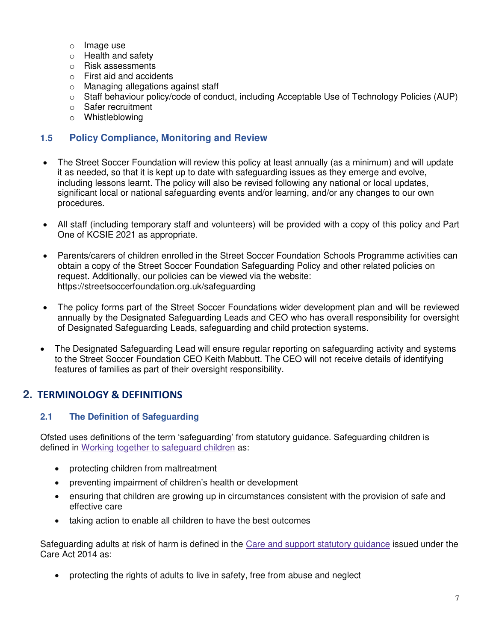- o Image use
- o Health and safety
- o Risk assessments
- o First aid and accidents
- o Managing allegations against staff
- $\circ$  Staff behaviour policy/code of conduct, including Acceptable Use of Technology Policies (AUP)
- o Safer recruitment
- o Whistleblowing

# **1.5 Policy Compliance, Monitoring and Review**

- The Street Soccer Foundation will review this policy at least annually (as a minimum) and will update it as needed, so that it is kept up to date with safeguarding issues as they emerge and evolve, including lessons learnt. The policy will also be revised following any national or local updates, significant local or national safeguarding events and/or learning, and/or any changes to our own procedures.
- All staff (including temporary staff and volunteers) will be provided with a copy of this policy and Part One of KCSIE 2021 as appropriate.
- Parents/carers of children enrolled in the Street Soccer Foundation Schools Programme activities can obtain a copy of the Street Soccer Foundation Safeguarding Policy and other related policies on request. Additionally, our policies can be viewed via the website: https://streetsoccerfoundation.org.uk/safeguarding
- The policy forms part of the Street Soccer Foundations wider development plan and will be reviewed annually by the Designated Safeguarding Leads and CEO who has overall responsibility for oversight of Designated Safeguarding Leads, safeguarding and child protection systems.
- The Designated Safeguarding Lead will ensure regular reporting on safeguarding activity and systems to the Street Soccer Foundation CEO Keith Mabbutt. The CEO will not receive details of identifying features of families as part of their oversight responsibility.

# <span id="page-6-0"></span>**2. TERMINOLOGY & DEFINITIONS**

# **2.1 The Definition of Safeguarding**

Ofsted uses definitions of the term 'safeguarding' from statutory guidance. Safeguarding children is defined in [Working together to safeguard children](https://www.gov.uk/government/publications/working-together-to-safeguard-children--2) as:

- protecting children from maltreatment
- preventing impairment of children's health or development
- ensuring that children are growing up in circumstances consistent with the provision of safe and effective care
- taking action to enable all children to have the best outcomes

Safeguarding adults at risk of harm is defined in the [Care and support statutory guidance](https://www.gov.uk/government/publications/care-act-statutory-guidance) issued under the Care Act 2014 as:

protecting the rights of adults to live in safety, free from abuse and neglect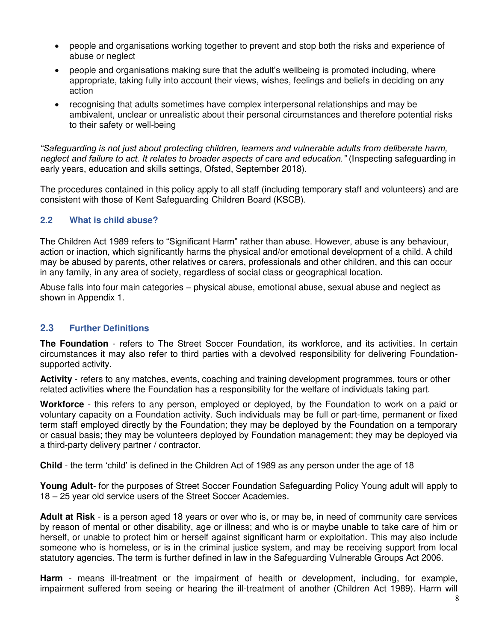- people and organisations working together to prevent and stop both the risks and experience of abuse or neglect
- people and organisations making sure that the adult's wellbeing is promoted including, where appropriate, taking fully into account their views, wishes, feelings and beliefs in deciding on any action
- recognising that adults sometimes have complex interpersonal relationships and may be ambivalent, unclear or unrealistic about their personal circumstances and therefore potential risks to their safety or well-being

*"Safeguarding is not just about protecting children, learners and vulnerable adults from deliberate harm, neglect and failure to act. It relates to broader aspects of care and education."* (Inspecting safeguarding in early years, education and skills settings, Ofsted, September 2018).

The procedures contained in this policy apply to all staff (including temporary staff and volunteers) and are consistent with those of Kent Safeguarding Children Board (KSCB).

#### **2.2 What is child abuse?**

The Children Act 1989 refers to "Significant Harm" rather than abuse. However, abuse is any behaviour, action or inaction, which significantly harms the physical and/or emotional development of a child. A child may be abused by parents, other relatives or carers, professionals and other children, and this can occur in any family, in any area of society, regardless of social class or geographical location.

Abuse falls into four main categories – physical abuse, emotional abuse, sexual abuse and neglect as shown in Appendix 1.

# **2.3 Further Definitions**

**The Foundation** - refers to The Street Soccer Foundation, its workforce, and its activities. In certain circumstances it may also refer to third parties with a devolved responsibility for delivering Foundationsupported activity.

**Activity** - refers to any matches, events, coaching and training development programmes, tours or other related activities where the Foundation has a responsibility for the welfare of individuals taking part.

**Workforce** - this refers to any person, employed or deployed, by the Foundation to work on a paid or voluntary capacity on a Foundation activity. Such individuals may be full or part-time, permanent or fixed term staff employed directly by the Foundation; they may be deployed by the Foundation on a temporary or casual basis; they may be volunteers deployed by Foundation management; they may be deployed via a third-party delivery partner / contractor.

**Child** - the term 'child' is defined in the Children Act of 1989 as any person under the age of 18

**Young Adult**- for the purposes of Street Soccer Foundation Safeguarding Policy Young adult will apply to 18 – 25 year old service users of the Street Soccer Academies.

**Adult at Risk** - is a person aged 18 years or over who is, or may be, in need of community care services by reason of mental or other disability, age or illness; and who is or maybe unable to take care of him or herself, or unable to protect him or herself against significant harm or exploitation. This may also include someone who is homeless, or is in the criminal justice system, and may be receiving support from local statutory agencies. The term is further defined in law in the Safeguarding Vulnerable Groups Act 2006.

**Harm** - means ill-treatment or the impairment of health or development, including, for example, impairment suffered from seeing or hearing the ill-treatment of another (Children Act 1989). Harm will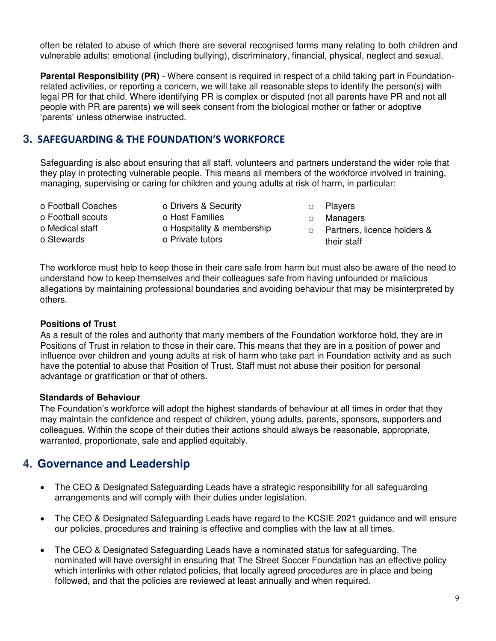often be related to abuse of which there are several recognised forms many relating to both children and vulnerable adults: emotional (including bullying), discriminatory, financial, physical, neglect and sexual.

**Parental Responsibility (PR)** - Where consent is required in respect of a child taking part in Foundationrelated activities, or reporting a concern, we will take all reasonable steps to identify the person(s) with legal PR for that child. Where identifying PR is complex or disputed (not all parents have PR and not all people with PR are parents) we will seek consent from the biological mother or father or adoptive 'parents' unless otherwise instructed.

# **3. SAFEGUARDING & THE FOUNDATION'S WORKFORCE**

Safeguarding is also about ensuring that all staff, volunteers and partners understand the wider role that they play in protecting vulnerable people. This means all members of the workforce involved in training, managing, supervising or caring for children and young adults at risk of harm, in particular:

- o Football Coaches o Football scouts o Medical staff
- o Stewards
- o Drivers & Security o Host Families o Hospitality & membership o Private tutors
- o Players
- o Managers
- o Partners, licence holders & their staff

The workforce must help to keep those in their care safe from harm but must also be aware of the need to understand how to keep themselves and their colleagues safe from having unfounded or malicious allegations by maintaining professional boundaries and avoiding behaviour that may be misinterpreted by others.

#### **Positions of Trust**

As a result of the roles and authority that many members of the Foundation workforce hold, they are in Positions of Trust in relation to those in their care. This means that they are in a position of power and influence over children and young adults at risk of harm who take part in Foundation activity and as such have the potential to abuse that Position of Trust. Staff must not abuse their position for personal advantage or gratification or that of others.

#### **Standards of Behaviour**

The Foundation's workforce will adopt the highest standards of behaviour at all times in order that they may maintain the confidence and respect of children, young adults, parents, sponsors, supporters and colleagues. Within the scope of their duties their actions should always be reasonable, appropriate, warranted, proportionate, safe and applied equitably.

# <span id="page-8-0"></span>**4. Governance and Leadership**

- The CEO & Designated Safeguarding Leads have a strategic responsibility for all safeguarding arrangements and will comply with their duties under legislation.
- The CEO & Designated Safeguarding Leads have regard to the KCSIE 2021 guidance and will ensure our policies, procedures and training is effective and complies with the law at all times.
- The CEO & Designated Safeguarding Leads have a nominated status for safeguarding. The nominated will have oversight in ensuring that The Street Soccer Foundation has an effective policy which interlinks with other related policies, that locally agreed procedures are in place and being followed, and that the policies are reviewed at least annually and when required.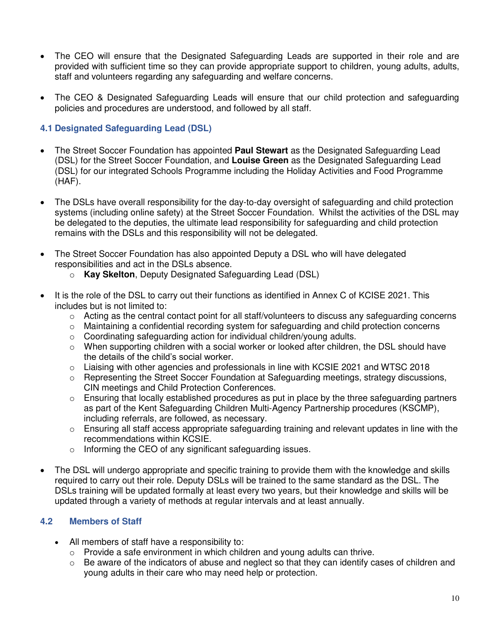- The CEO will ensure that the Designated Safeguarding Leads are supported in their role and are provided with sufficient time so they can provide appropriate support to children, young adults, adults, staff and volunteers regarding any safeguarding and welfare concerns.
- The CEO & Designated Safeguarding Leads will ensure that our child protection and safeguarding policies and procedures are understood, and followed by all staff.

# **4.1 Designated Safeguarding Lead (DSL)**

- The Street Soccer Foundation has appointed **Paul Stewart** as the Designated Safeguarding Lead (DSL) for the Street Soccer Foundation, and **Louise Green** as the Designated Safeguarding Lead (DSL) for our integrated Schools Programme including the Holiday Activities and Food Programme (HAF).
- The DSLs have overall responsibility for the day-to-day oversight of safeguarding and child protection systems (including online safety) at the Street Soccer Foundation. Whilst the activities of the DSL may be delegated to the deputies, the ultimate lead responsibility for safeguarding and child protection remains with the DSLs and this responsibility will not be delegated.
- The Street Soccer Foundation has also appointed Deputy a DSL who will have delegated responsibilities and act in the DSLs absence.
	- o **Kay Skelton**, Deputy Designated Safeguarding Lead (DSL)
- It is the role of the DSL to carry out their functions as identified in Annex C of KCISE 2021. This includes but is not limited to:
	- $\circ$  Acting as the central contact point for all staff/volunteers to discuss any safeguarding concerns
	- $\circ$  Maintaining a confidential recording system for safeguarding and child protection concerns
	- o Coordinating safeguarding action for individual children/young adults.
	- o When supporting children with a social worker or looked after children, the DSL should have the details of the child's social worker.
	- $\circ$  Liaising with other agencies and professionals in line with KCSIE 2021 and WTSC 2018
	- $\circ$  Representing the Street Soccer Foundation at Safeguarding meetings, strategy discussions, CIN meetings and Child Protection Conferences.
	- $\circ$  Ensuring that locally established procedures as put in place by the three safeguarding partners as part of the Kent Safeguarding Children Multi-Agency Partnership procedures (KSCMP), including referrals, are followed, as necessary.
	- $\circ$  Ensuring all staff access appropriate safeguarding training and relevant updates in line with the recommendations within KCSIE.
	- o Informing the CEO of any significant safeguarding issues.
- The DSL will undergo appropriate and specific training to provide them with the knowledge and skills required to carry out their role. Deputy DSLs will be trained to the same standard as the DSL. The DSLs training will be updated formally at least every two years, but their knowledge and skills will be updated through a variety of methods at regular intervals and at least annually.

# **4.2 Members of Staff**

- All members of staff have a responsibility to:
	- o Provide a safe environment in which children and young adults can thrive.
	- $\circ$  Be aware of the indicators of abuse and neglect so that they can identify cases of children and young adults in their care who may need help or protection.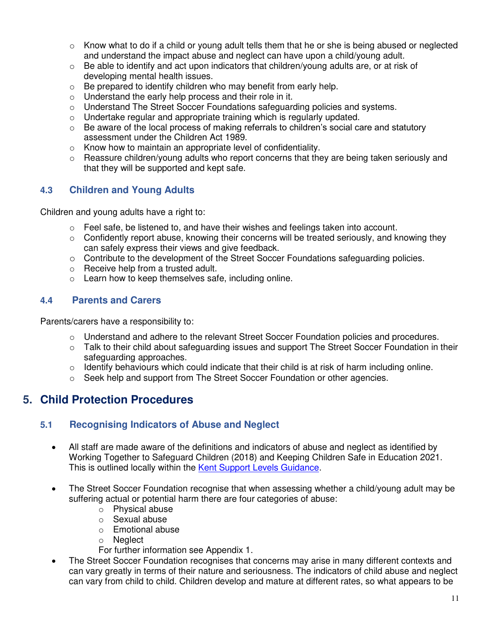- $\circ$  Know what to do if a child or young adult tells them that he or she is being abused or neglected and understand the impact abuse and neglect can have upon a child/young adult.
- $\circ$  Be able to identify and act upon indicators that children/young adults are, or at risk of developing mental health issues.
- $\circ$  Be prepared to identify children who may benefit from early help.
- o Understand the early help process and their role in it.
- o Understand The Street Soccer Foundations safeguarding policies and systems.
- $\circ$  Undertake regular and appropriate training which is regularly updated.
- $\circ$  Be aware of the local process of making referrals to children's social care and statutory assessment under the Children Act 1989.
- o Know how to maintain an appropriate level of confidentiality.
- $\circ$  Reassure children/young adults who report concerns that they are being taken seriously and that they will be supported and kept safe.

# **4.3 Children and Young Adults**

Children and young adults have a right to:

- $\circ$  Feel safe, be listened to, and have their wishes and feelings taken into account.
- $\circ$  Confidently report abuse, knowing their concerns will be treated seriously, and knowing they can safely express their views and give feedback.
- o Contribute to the development of the Street Soccer Foundations safeguarding policies.
- o Receive help from a trusted adult.
- $\circ$  Learn how to keep themselves safe, including online.

# **4.4 Parents and Carers**

Parents/carers have a responsibility to:

- o Understand and adhere to the relevant Street Soccer Foundation policies and procedures.
- o Talk to their child about safeguarding issues and support The Street Soccer Foundation in their safeguarding approaches.
- $\circ$  Identify behaviours which could indicate that their child is at risk of harm including online.
- $\circ$  Seek help and support from The Street Soccer Foundation or other agencies.

# <span id="page-10-0"></span>**5. Child Protection Procedures**

# **5.1 Recognising Indicators of Abuse and Neglect**

- All staff are made aware of the definitions and indicators of abuse and neglect as identified by Working Together to Safeguard Children (2018) and Keeping Children Safe in Education 2021. This is outlined locally within the [Kent Support Levels Guidance.](https://www.kscmp.org.uk/guidance/kent-support-levels-guidance)
- The Street Soccer Foundation recognise that when assessing whether a child/young adult may be suffering actual or potential harm there are four categories of abuse:
	- o Physical abuse
	- o Sexual abuse
	- o Emotional abuse
	- o Neglect
	- For further information see Appendix 1.
- The Street Soccer Foundation recognises that concerns may arise in many different contexts and can vary greatly in terms of their nature and seriousness. The indicators of child abuse and neglect can vary from child to child. Children develop and mature at different rates, so what appears to be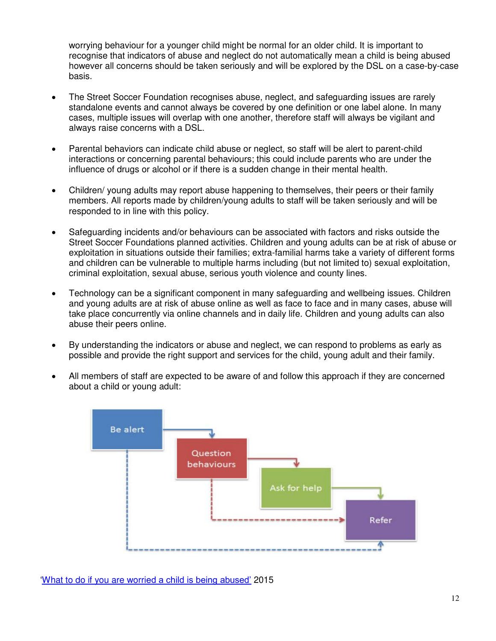worrying behaviour for a younger child might be normal for an older child. It is important to recognise that indicators of abuse and neglect do not automatically mean a child is being abused however all concerns should be taken seriously and will be explored by the DSL on a case-by-case basis.

- The Street Soccer Foundation recognises abuse, neglect, and safeguarding issues are rarely standalone events and cannot always be covered by one definition or one label alone. In many cases, multiple issues will overlap with one another, therefore staff will always be vigilant and always raise concerns with a DSL.
- Parental behaviors can indicate child abuse or neglect, so staff will be alert to parent-child interactions or concerning parental behaviours; this could include parents who are under the influence of drugs or alcohol or if there is a sudden change in their mental health.
- Children/ young adults may report abuse happening to themselves, their peers or their family members. All reports made by children/young adults to staff will be taken seriously and will be responded to in line with this policy.
- Safeguarding incidents and/or behaviours can be associated with factors and risks outside the Street Soccer Foundations planned activities. Children and young adults can be at risk of abuse or exploitation in situations outside their families; extra-familial harms take a variety of different forms and children can be vulnerable to multiple harms including (but not limited to) sexual exploitation, criminal exploitation, sexual abuse, serious youth violence and county lines.
- Technology can be a significant component in many safeguarding and wellbeing issues. Children and young adults are at risk of abuse online as well as face to face and in many cases, abuse will take place concurrently via online channels and in daily life. Children and young adults can also abuse their peers online.
- By understanding the indicators or abuse and neglect, we can respond to problems as early as possible and provide the right support and services for the child, young adult and their family.
- All members of staff are expected to be aware of and follow this approach if they are concerned about a child or young adult:



'What to do if you are worri[ed a child is being abused'](https://www.gov.uk/government/publications/what-to-do-if-youre-worried-a-child-is-being-abused--2) 2015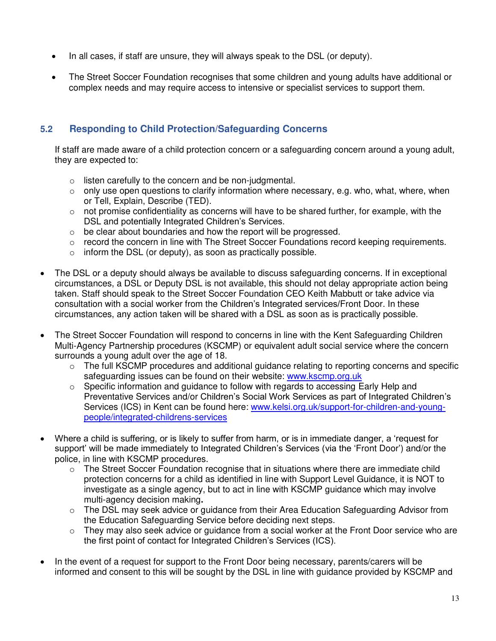- In all cases, if staff are unsure, they will always speak to the DSL (or deputy).
- The Street Soccer Foundation recognises that some children and young adults have additional or complex needs and may require access to intensive or specialist services to support them.

# **5.2 Responding to Child Protection/Safeguarding Concerns**

If staff are made aware of a child protection concern or a safeguarding concern around a young adult, they are expected to:

- o listen carefully to the concern and be non-judgmental.
- o only use open questions to clarify information where necessary, e.g. who, what, where, when or Tell, Explain, Describe (TED).
- $\circ$  not promise confidentiality as concerns will have to be shared further, for example, with the DSL and potentially Integrated Children's Services.
- o be clear about boundaries and how the report will be progressed.
- $\circ$  record the concern in line with The Street Soccer Foundations record keeping requirements.
- $\circ$  inform the DSL (or deputy), as soon as practically possible.
- The DSL or a deputy should always be available to discuss safeguarding concerns. If in exceptional circumstances, a DSL or Deputy DSL is not available, this should not delay appropriate action being taken. Staff should speak to the Street Soccer Foundation CEO Keith Mabbutt or take advice via consultation with a social worker from the Children's Integrated services/Front Door. In these circumstances, any action taken will be shared with a DSL as soon as is practically possible.
- The Street Soccer Foundation will respond to concerns in line with the Kent Safeguarding Children Multi-Agency Partnership procedures (KSCMP) or equivalent adult social service where the concern surrounds a young adult over the age of 18.
	- $\circ$  The full KSCMP procedures and additional guidance relating to reporting concerns and specific safeguarding issues can be found on their website: [www.kscmp.org.uk](http://www.kscmp.org.uk/)
	- $\circ$  Specific information and guidance to follow with regards to accessing Early Help and Preventative Services and/or Children's Social Work Services as part of Integrated Children's Services (ICS) in Kent can be found here: [www.kelsi.org.uk/support-for-children-and-young](http://www.kelsi.org.uk/support-for-children-and-young-people/integrated-childrens-services)[people/integrated-childrens-services](http://www.kelsi.org.uk/support-for-children-and-young-people/integrated-childrens-services)
- Where a child is suffering, or is likely to suffer from harm, or is in immediate danger, a 'request for support' will be made immediately to Integrated Children's Services (via the 'Front Door') and/or the police, in line with KSCMP procedures.
	- $\circ$  The Street Soccer Foundation recognise that in situations where there are immediate child protection concerns for a child as identified in line with Support Level Guidance, it is NOT to investigate as a single agency, but to act in line with KSCMP guidance which may involve multi-agency decision making**.**
	- o The DSL may seek advice or guidance from their Area Education Safeguarding Advisor from the Education Safeguarding Service before deciding next steps.
	- $\circ$  They may also seek advice or guidance from a social worker at the Front Door service who are the first point of contact for Integrated Children's Services (ICS).
- In the event of a request for support to the Front Door being necessary, parents/carers will be informed and consent to this will be sought by the DSL in line with guidance provided by KSCMP and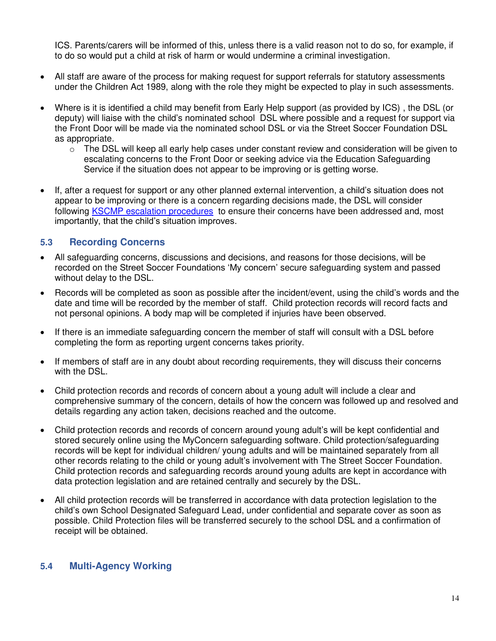ICS. Parents/carers will be informed of this, unless there is a valid reason not to do so, for example, if to do so would put a child at risk of harm or would undermine a criminal investigation.

- All staff are aware of the process for making request for support referrals for statutory assessments under the Children Act 1989, along with the role they might be expected to play in such assessments.
- Where is it is identified a child may benefit from Early Help support (as provided by ICS) , the DSL (or deputy) will liaise with the child's nominated school DSL where possible and a request for support via the Front Door will be made via the nominated school DSL or via the Street Soccer Foundation DSL as appropriate.
	- $\circ$  The DSL will keep all early help cases under constant review and consideration will be given to escalating concerns to the Front Door or seeking advice via the Education Safeguarding Service if the situation does not appear to be improving or is getting worse.
- If, after a request for support or any other planned external intervention, a child's situation does not appear to be improving or there is a concern regarding decisions made, the DSL will consider following [KSCMP escalation procedures](https://www.proceduresonline.com/kentandmedway/chapters/p_resolution.html) to ensure their concerns have been addressed and, most importantly, that the child's situation improves.

# **5.3 Recording Concerns**

- All safeguarding concerns, discussions and decisions, and reasons for those decisions, will be recorded on the Street Soccer Foundations 'My concern' secure safeguarding system and passed without delay to the DSL.
- Records will be completed as soon as possible after the incident/event, using the child's words and the date and time will be recorded by the member of staff. Child protection records will record facts and not personal opinions. A body map will be completed if injuries have been observed.
- If there is an immediate safeguarding concern the member of staff will consult with a DSL before completing the form as reporting urgent concerns takes priority.
- If members of staff are in any doubt about recording requirements, they will discuss their concerns with the DSL.
- Child protection records and records of concern about a young adult will include a clear and comprehensive summary of the concern, details of how the concern was followed up and resolved and details regarding any action taken, decisions reached and the outcome.
- Child protection records and records of concern around young adult's will be kept confidential and stored securely online using the MyConcern safeguarding software. Child protection/safeguarding records will be kept for individual children/ young adults and will be maintained separately from all other records relating to the child or young adult's involvement with The Street Soccer Foundation. Child protection records and safeguarding records around young adults are kept in accordance with data protection legislation and are retained centrally and securely by the DSL.
- All child protection records will be transferred in accordance with data protection legislation to the child's own School Designated Safeguard Lead, under confidential and separate cover as soon as possible. Child Protection files will be transferred securely to the school DSL and a confirmation of receipt will be obtained.

#### **5.4 Multi-Agency Working**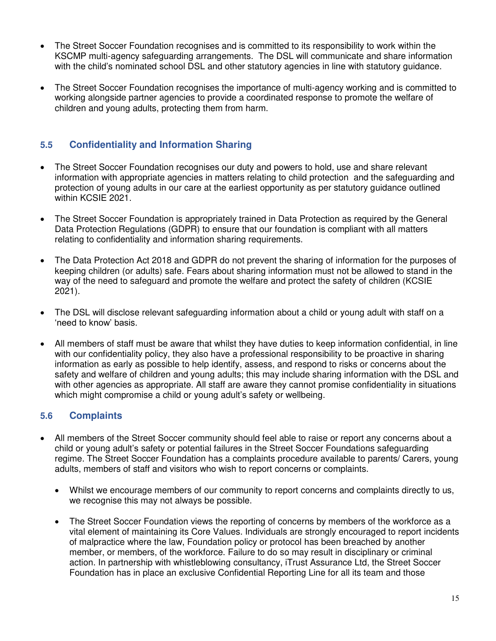- The Street Soccer Foundation recognises and is committed to its responsibility to work within the KSCMP multi-agency safeguarding arrangements. The DSL will communicate and share information with the child's nominated school DSL and other statutory agencies in line with statutory guidance.
- The Street Soccer Foundation recognises the importance of multi-agency working and is committed to working alongside partner agencies to provide a coordinated response to promote the welfare of children and young adults, protecting them from harm.

# **5.5 Confidentiality and Information Sharing**

- The Street Soccer Foundation recognises our duty and powers to hold, use and share relevant information with appropriate agencies in matters relating to child protection and the safeguarding and protection of young adults in our care at the earliest opportunity as per statutory guidance outlined within KCSIE 2021.
- The Street Soccer Foundation is appropriately trained in Data Protection as required by the General Data Protection Regulations (GDPR) to ensure that our foundation is compliant with all matters relating to confidentiality and information sharing requirements.
- The Data Protection Act 2018 and GDPR do not prevent the sharing of information for the purposes of keeping children (or adults) safe. Fears about sharing information must not be allowed to stand in the way of the need to safeguard and promote the welfare and protect the safety of children (KCSIE 2021).
- The DSL will disclose relevant safeguarding information about a child or young adult with staff on a 'need to know' basis.
- All members of staff must be aware that whilst they have duties to keep information confidential, in line with our confidentiality policy, they also have a professional responsibility to be proactive in sharing information as early as possible to help identify, assess, and respond to risks or concerns about the safety and welfare of children and young adults; this may include sharing information with the DSL and with other agencies as appropriate. All staff are aware they cannot promise confidentiality in situations which might compromise a child or young adult's safety or wellbeing.

# **5.6 Complaints**

- All members of the Street Soccer community should feel able to raise or report any concerns about a child or young adult's safety or potential failures in the Street Soccer Foundations safeguarding regime. The Street Soccer Foundation has a complaints procedure available to parents/ Carers, young adults, members of staff and visitors who wish to report concerns or complaints.
	- Whilst we encourage members of our community to report concerns and complaints directly to us, we recognise this may not always be possible.
	- The Street Soccer Foundation views the reporting of concerns by members of the workforce as a vital element of maintaining its Core Values. Individuals are strongly encouraged to report incidents of malpractice where the law, Foundation policy or protocol has been breached by another member, or members, of the workforce. Failure to do so may result in disciplinary or criminal action. In partnership with whistleblowing consultancy, iTrust Assurance Ltd, the Street Soccer Foundation has in place an exclusive Confidential Reporting Line for all its team and those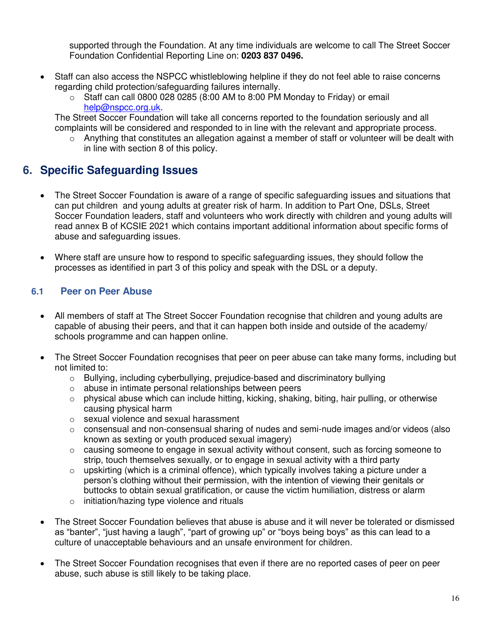supported through the Foundation. At any time individuals are welcome to call The Street Soccer Foundation Confidential Reporting Line on: **0203 837 0496.**

- Staff can also access the NSPCC whistleblowing helpline if they do not feel able to raise concerns regarding child protection/safeguarding failures internally.
	- $\circ$  Staff can call 0800 028 0285 (8:00 AM to 8:00 PM Monday to Friday) or email [help@nspcc.org.uk.](mailto:help@nspcc.org.uk)

The Street Soccer Foundation will take all concerns reported to the foundation seriously and all complaints will be considered and responded to in line with the relevant and appropriate process.

o Anything that constitutes an allegation against a member of staff or volunteer will be dealt with in line with section 8 of this policy.

# <span id="page-15-0"></span>**6. Specific Safeguarding Issues**

- The Street Soccer Foundation is aware of a range of specific safeguarding issues and situations that can put children and young adults at greater risk of harm. In addition to Part One, DSLs, Street Soccer Foundation leaders, staff and volunteers who work directly with children and young adults will read annex B of KCSIE 2021 which contains important additional information about specific forms of abuse and safeguarding issues.
- Where staff are unsure how to respond to specific safeguarding issues, they should follow the processes as identified in part 3 of this policy and speak with the DSL or a deputy.

# **6.1 Peer on Peer Abuse**

- All members of staff at The Street Soccer Foundation recognise that children and young adults are capable of abusing their peers, and that it can happen both inside and outside of the academy/ schools programme and can happen online.
- The Street Soccer Foundation recognises that peer on peer abuse can take many forms, including but not limited to:
	- o Bullying, including cyberbullying, prejudice-based and discriminatory bullying
	- o abuse in intimate personal relationships between peers
	- $\circ$  physical abuse which can include hitting, kicking, shaking, biting, hair pulling, or otherwise causing physical harm
	- o sexual violence and sexual harassment
	- $\circ$  consensual and non-consensual sharing of nudes and semi-nude images and/or videos (also known as sexting or youth produced sexual imagery)
	- o causing someone to engage in sexual activity without consent, such as forcing someone to strip, touch themselves sexually, or to engage in sexual activity with a third party
	- $\circ$  upskirting (which is a criminal offence), which typically involves taking a picture under a person's clothing without their permission, with the intention of viewing their genitals or buttocks to obtain sexual gratification, or cause the victim humiliation, distress or alarm
	- o initiation/hazing type violence and rituals
- The Street Soccer Foundation believes that abuse is abuse and it will never be tolerated or dismissed as "banter", "just having a laugh", "part of growing up" or "boys being boys" as this can lead to a culture of unacceptable behaviours and an unsafe environment for children.
- The Street Soccer Foundation recognises that even if there are no reported cases of peer on peer abuse, such abuse is still likely to be taking place.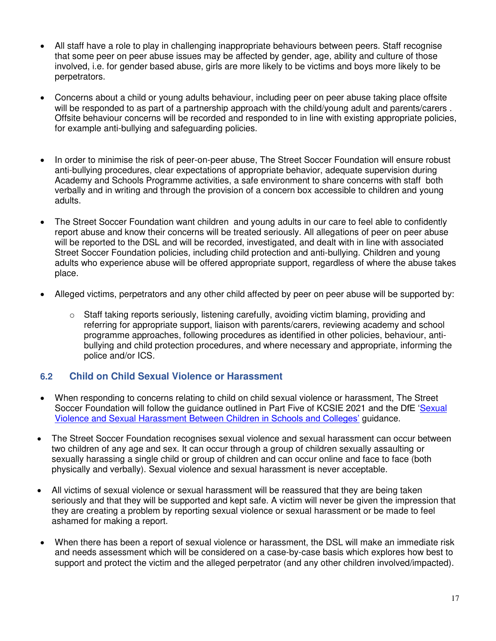- All staff have a role to play in challenging inappropriate behaviours between peers. Staff recognise that some peer on peer abuse issues may be affected by gender, age, ability and culture of those involved, i.e. for gender based abuse, girls are more likely to be victims and boys more likely to be perpetrators.
- Concerns about a child or young adults behaviour, including peer on peer abuse taking place offsite will be responded to as part of a partnership approach with the child/young adult and parents/carers . Offsite behaviour concerns will be recorded and responded to in line with existing appropriate policies, for example anti-bullying and safeguarding policies.
- In order to minimise the risk of peer-on-peer abuse, The Street Soccer Foundation will ensure robust anti-bullying procedures, clear expectations of appropriate behavior, adequate supervision during Academy and Schools Programme activities, a safe environment to share concerns with staff both verbally and in writing and through the provision of a concern box accessible to children and young adults.
- The Street Soccer Foundation want children and young adults in our care to feel able to confidently report abuse and know their concerns will be treated seriously. All allegations of peer on peer abuse will be reported to the DSL and will be recorded, investigated, and dealt with in line with associated Street Soccer Foundation policies, including child protection and anti-bullying. Children and young adults who experience abuse will be offered appropriate support, regardless of where the abuse takes place.
- Alleged victims, perpetrators and any other child affected by peer on peer abuse will be supported by:
	- $\circ$  Staff taking reports seriously, listening carefully, avoiding victim blaming, providing and referring for appropriate support, liaison with parents/carers, reviewing academy and school programme approaches, following procedures as identified in other policies, behaviour, antibullying and child protection procedures, and where necessary and appropriate, informing the police and/or ICS*.*

# **6.2 Child on Child Sexual Violence or Harassment**

- When responding to concerns relating to child on child sexual violence or harassment, The Street Soccer Foundation will follow the guidance outlined in Part Five of KCSIE 2021 and the DfE '[Sexual](https://www.gov.uk/government/publications/sexual-violence-and-sexual-harassment-between-children-in-schools-and-colleges)  [Violence and Sexual Harassment Between Childr](https://www.gov.uk/government/publications/sexual-violence-and-sexual-harassment-between-children-in-schools-and-colleges)en in Schools and Colleges' guidance.
- The Street Soccer Foundation recognises sexual violence and sexual harassment can occur between two children of any age and sex. It can occur through a group of children sexually assaulting or sexually harassing a single child or group of children and can occur online and face to face (both physically and verbally). Sexual violence and sexual harassment is never acceptable.
- All victims of sexual violence or sexual harassment will be reassured that they are being taken seriously and that they will be supported and kept safe. A victim will never be given the impression that they are creating a problem by reporting sexual violence or sexual harassment or be made to feel ashamed for making a report.
- When there has been a report of sexual violence or harassment, the DSL will make an immediate risk and needs assessment which will be considered on a case-by-case basis which explores how best to support and protect the victim and the alleged perpetrator (and any other children involved/impacted).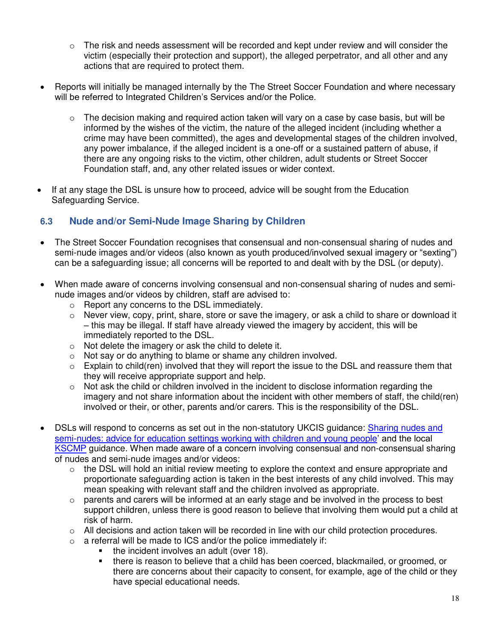- $\circ$  The risk and needs assessment will be recorded and kept under review and will consider the victim (especially their protection and support), the alleged perpetrator, and all other and any actions that are required to protect them.
- Reports will initially be managed internally by the The Street Soccer Foundation and where necessary will be referred to Integrated Children's Services and/or the Police.
	- $\circ$  The decision making and required action taken will vary on a case by case basis, but will be informed by the wishes of the victim, the nature of the alleged incident (including whether a crime may have been committed), the ages and developmental stages of the children involved, any power imbalance, if the alleged incident is a one-off or a sustained pattern of abuse, if there are any ongoing risks to the victim, other children, adult students or Street Soccer Foundation staff, and, any other related issues or wider context.
- If at any stage the DSL is unsure how to proceed, advice will be sought from the Education Safeguarding Service.

# **6.3 Nude and/or Semi-Nude Image Sharing by Children**

- The Street Soccer Foundation recognises that consensual and non-consensual sharing of nudes and semi-nude images and/or videos (also known as youth produced/involved sexual imagery or "sexting") can be a safeguarding issue; all concerns will be reported to and dealt with by the DSL (or deputy).
- When made aware of concerns involving consensual and non-consensual sharing of nudes and seminude images and/or videos by children, staff are advised to:
	- o Report any concerns to the DSL immediately.
	- $\circ$  Never view, copy, print, share, store or save the imagery, or ask a child to share or download it – this may be illegal. If staff have already viewed the imagery by accident, this will be immediately reported to the DSL.
	- o Not delete the imagery or ask the child to delete it.
	- o Not say or do anything to blame or shame any children involved.
	- $\circ$  Explain to child(ren) involved that they will report the issue to the DSL and reassure them that they will receive appropriate support and help.
	- $\circ$  Not ask the child or children involved in the incident to disclose information regarding the imagery and not share information about the incident with other members of staff, the child(ren) involved or their, or other, parents and/or carers. This is the responsibility of the DSL.
- DSLs will respond to concerns as set out in the non-statutory UKCIS guidance: [Sharing nudes and](https://www.gov.uk/government/publications/sharing-nudes-and-semi-nudes-advice-for-education-settings-working-with-children-and-young-people)  [semi-nudes: advice for education settings working with children and young people](https://www.gov.uk/government/publications/sharing-nudes-and-semi-nudes-advice-for-education-settings-working-with-children-and-young-people)' and the local [KSCMP](http://www.kscb.org.uk/guidance/online-safety) guidance. When made aware of a concern involving consensual and non-consensual sharing of nudes and semi-nude images and/or videos:
	- $\circ$  the DSL will hold an initial review meeting to explore the context and ensure appropriate and proportionate safeguarding action is taken in the best interests of any child involved. This may mean speaking with relevant staff and the children involved as appropriate.
	- $\circ$  parents and carers will be informed at an early stage and be involved in the process to best support children, unless there is good reason to believe that involving them would put a child at risk of harm.
	- $\circ$  All decisions and action taken will be recorded in line with our child protection procedures.
	- $\circ$  a referral will be made to ICS and/or the police immediately if:
		- the incident involves an adult (over 18).
		- there is reason to believe that a child has been coerced, blackmailed, or groomed, or there are concerns about their capacity to consent, for example, age of the child or they have special educational needs.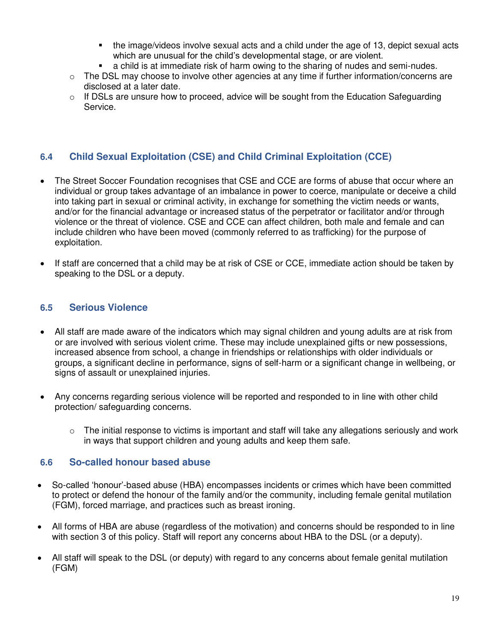- the image/videos involve sexual acts and a child under the age of 13, depict sexual acts which are unusual for the child's developmental stage, or are violent.
- a child is at immediate risk of harm owing to the sharing of nudes and semi-nudes.
- o The DSL may choose to involve other agencies at any time if further information/concerns are disclosed at a later date.
- $\circ$  If DSLs are unsure how to proceed, advice will be sought from the Education Safeguarding Service.

# **6.4 Child Sexual Exploitation (CSE) and Child Criminal Exploitation (CCE)**

- The Street Soccer Foundation recognises that CSE and CCE are forms of abuse that occur where an individual or group takes advantage of an imbalance in power to coerce, manipulate or deceive a child into taking part in sexual or criminal activity, in exchange for something the victim needs or wants, and/or for the financial advantage or increased status of the perpetrator or facilitator and/or through violence or the threat of violence. CSE and CCE can affect children, both male and female and can include children who have been moved (commonly referred to as trafficking) for the purpose of exploitation.
- If staff are concerned that a child may be at risk of CSE or CCE, immediate action should be taken by speaking to the DSL or a deputy.

# **6.5 Serious Violence**

- All staff are made aware of the indicators which may signal children and young adults are at risk from or are involved with serious violent crime. These may include unexplained gifts or new possessions, increased absence from school, a change in friendships or relationships with older individuals or groups, a significant decline in performance, signs of self-harm or a significant change in wellbeing, or signs of assault or unexplained injuries.
- Any concerns regarding serious violence will be reported and responded to in line with other child protection/ safeguarding concerns.
	- $\circ$  The initial response to victims is important and staff will take any allegations seriously and work in ways that support children and young adults and keep them safe.

#### **6.6 So-called honour based abuse**

- So-called 'honour'-based abuse (HBA) encompasses incidents or crimes which have been committed to protect or defend the honour of the family and/or the community, including female genital mutilation (FGM), forced marriage, and practices such as breast ironing.
- All forms of HBA are abuse (regardless of the motivation) and concerns should be responded to in line with section 3 of this policy. Staff will report any concerns about HBA to the DSL (or a deputy).
- All staff will speak to the DSL (or deputy) with regard to any concerns about female genital mutilation (FGM)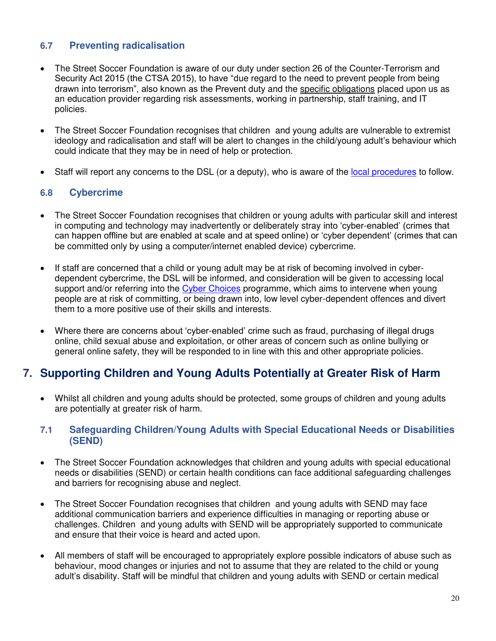# **6.7 Preventing radicalisation**

- The Street Soccer Foundation is aware of our duty under section 26 of the Counter-Terrorism and Security Act 2015 (the CTSA 2015), to have "due regard to the need to prevent people from being drawn into terrorism", also known as the Prevent duty and the [specific obligations](https://www.gov.uk/government/publications/prevent-duty-guidance/prevent-duty-guidance-for-further-education-institutions-in-england-and-wales) placed upon us as an education provider regarding risk assessments, working in partnership, staff training, and IT policies.
- The Street Soccer Foundation recognises that children and young adults are vulnerable to extremist ideology and radicalisation and staff will be alert to changes in the child/young adult's behaviour which could indicate that they may be in need of help or protection.
- Staff will report any concerns to the DSL (or a deputy), who is aware of the [local procedures](https://www.kelsi.org.uk/child-protection-and-safeguarding/prevent-within-schools) to follow.

# **6.8 Cybercrime**

- The Street Soccer Foundation recognises that children or young adults with particular skill and interest in computing and technology may inadvertently or deliberately stray into 'cyber-enabled' (crimes that can happen offline but are enabled at scale and at speed online) or 'cyber dependent' (crimes that can be committed only by using a computer/internet enabled device) cybercrime.
- If staff are concerned that a child or young adult may be at risk of becoming involved in cyberdependent cybercrime, the DSL will be informed, and consideration will be given to accessing local support and/or referring into the [Cyber Choices](http://www.cyberchoices.uk/) programme, which aims to intervene when young people are at risk of committing, or being drawn into, low level cyber-dependent offences and divert them to a more positive use of their skills and interests.
- Where there are concerns about 'cyber-enabled' crime such as fraud, purchasing of illegal drugs online, child sexual abuse and exploitation, or other areas of concern such as online bullying or general online safety, they will be responded to in line with this and other appropriate policies.

# <span id="page-19-0"></span>**7. Supporting Children and Young Adults Potentially at Greater Risk of Harm**

 Whilst all children and young adults should be protected, some groups of children and young adults are potentially at greater risk of harm.

#### **7.1 Safeguarding Children/Young Adults with Special Educational Needs or Disabilities (SEND)**

- The Street Soccer Foundation acknowledges that children and young adults with special educational needs or disabilities (SEND) or certain health conditions can face additional safeguarding challenges and barriers for recognising abuse and neglect.
- The Street Soccer Foundation recognises that children and young adults with SEND may face additional communication barriers and experience difficulties in managing or reporting abuse or challenges. Children and young adults with SEND will be appropriately supported to communicate and ensure that their voice is heard and acted upon.
- All members of staff will be encouraged to appropriately explore possible indicators of abuse such as behaviour, mood changes or injuries and not to assume that they are related to the child or young adult's disability. Staff will be mindful that children and young adults with SEND or certain medical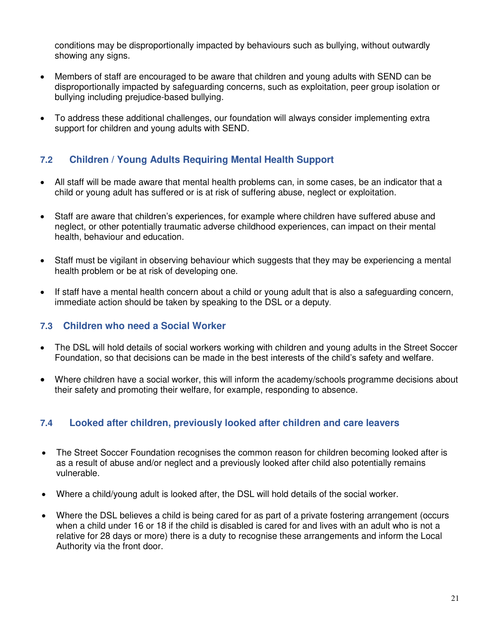conditions may be disproportionally impacted by behaviours such as bullying, without outwardly showing any signs.

- Members of staff are encouraged to be aware that children and young adults with SEND can be disproportionally impacted by safeguarding concerns, such as exploitation, peer group isolation or bullying including prejudice-based bullying.
- To address these additional challenges, our foundation will always consider implementing extra support for children and young adults with SEND.

# **7.2 Children / Young Adults Requiring Mental Health Support**

- All staff will be made aware that mental health problems can, in some cases, be an indicator that a child or young adult has suffered or is at risk of suffering abuse, neglect or exploitation.
- Staff are aware that children's experiences, for example where children have suffered abuse and neglect, or other potentially traumatic adverse childhood experiences, can impact on their mental health, behaviour and education.
- Staff must be vigilant in observing behaviour which suggests that they may be experiencing a mental health problem or be at risk of developing one.
- If staff have a mental health concern about a child or young adult that is also a safeguarding concern, immediate action should be taken by speaking to the DSL or a deputy.

#### **7.3 Children who need a Social Worker**

- The DSL will hold details of social workers working with children and young adults in the Street Soccer Foundation, so that decisions can be made in the best interests of the child's safety and welfare.
- Where children have a social worker, this will inform the academy/schools programme decisions about their safety and promoting their welfare, for example, responding to absence.

# **7.4 Looked after children, previously looked after children and care leavers**

- The Street Soccer Foundation recognises the common reason for children becoming looked after is as a result of abuse and/or neglect and a previously looked after child also potentially remains vulnerable.
- Where a child/young adult is looked after, the DSL will hold details of the social worker.
- Where the DSL believes a child is being cared for as part of a private fostering arrangement (occurs when a child under 16 or 18 if the child is disabled is cared for and lives with an adult who is not a relative for 28 days or more) there is a duty to recognise these arrangements and inform the Local Authority via the front door.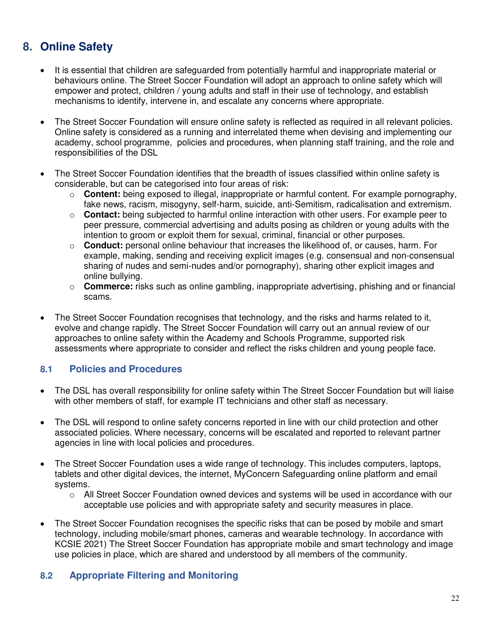# <span id="page-21-0"></span>**8. Online Safety**

- It is essential that children are safeguarded from potentially harmful and inappropriate material or behaviours online. The Street Soccer Foundation will adopt an approach to online safety which will empower and protect, children / young adults and staff in their use of technology, and establish mechanisms to identify, intervene in, and escalate any concerns where appropriate.
- The Street Soccer Foundation will ensure online safety is reflected as required in all relevant policies. Online safety is considered as a running and interrelated theme when devising and implementing our academy, school programme, policies and procedures, when planning staff training, and the role and responsibilities of the DSL
- The Street Soccer Foundation identifies that the breadth of issues classified within online safety is considerable, but can be categorised into four areas of risk:
	- o **Content:** being exposed to illegal, inappropriate or harmful content. For example pornography, fake news, racism, misogyny, self-harm, suicide, anti-Semitism, radicalisation and extremism.
	- o **Contact:** being subjected to harmful online interaction with other users. For example peer to peer pressure, commercial advertising and adults posing as children or young adults with the intention to groom or exploit them for sexual, criminal, financial or other purposes.
	- o **Conduct:** personal online behaviour that increases the likelihood of, or causes, harm. For example, making, sending and receiving explicit images (e.g. consensual and non-consensual sharing of nudes and semi-nudes and/or pornography), sharing other explicit images and online bullying.
	- o **Commerce:** risks such as online gambling, inappropriate advertising, phishing and or financial scams.
- The Street Soccer Foundation recognises that technology, and the risks and harms related to it, evolve and change rapidly. The Street Soccer Foundation will carry out an annual review of our approaches to online safety within the Academy and Schools Programme, supported risk assessments where appropriate to consider and reflect the risks children and young people face.

# **8.1 Policies and Procedures**

- The DSL has overall responsibility for online safety within The Street Soccer Foundation but will liaise with other members of staff, for example IT technicians and other staff as necessary.
- The DSL will respond to online safety concerns reported in line with our child protection and other associated policies. Where necessary, concerns will be escalated and reported to relevant partner agencies in line with local policies and procedures.
- The Street Soccer Foundation uses a wide range of technology. This includes computers, laptops, tablets and other digital devices, the internet, MyConcern Safeguarding online platform and email systems.
	- $\circ$  All Street Soccer Foundation owned devices and systems will be used in accordance with our acceptable use policies and with appropriate safety and security measures in place.
- The Street Soccer Foundation recognises the specific risks that can be posed by mobile and smart technology, including mobile/smart phones, cameras and wearable technology. In accordance with KCSIE 2021) The Street Soccer Foundation has appropriate mobile and smart technology and image use policies in place, which are shared and understood by all members of the community.

# **8.2 Appropriate Filtering and Monitoring**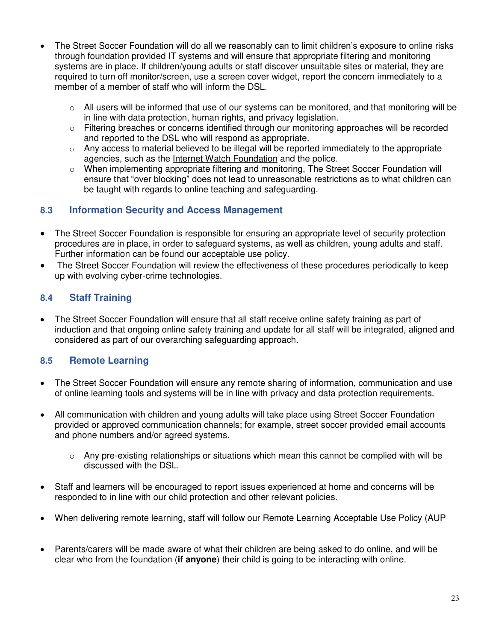- The Street Soccer Foundation will do all we reasonably can to limit children's exposure to online risks through foundation provided IT systems and will ensure that appropriate filtering and monitoring systems are in place. If children/young adults or staff discover unsuitable sites or material, they are required to turn off monitor/screen, use a screen cover widget, report the concern immediately to a member of a member of staff who will inform the DSL.
	- $\circ$  All users will be informed that use of our systems can be monitored, and that monitoring will be in line with data protection, human rights, and privacy legislation.
	- o Filtering breaches or concerns identified through our monitoring approaches will be recorded and reported to the DSL who will respond as appropriate.
	- $\circ$  Any access to material believed to be illegal will be reported immediately to the appropriate agencies, such as the [Internet Watch Foundation](https://www.iwf.org.uk/) and the police.
	- $\circ$  When implementing appropriate filtering and monitoring, The Street Soccer Foundation will ensure that "over blocking" does not lead to unreasonable restrictions as to what children can be taught with regards to online teaching and safeguarding.

# **8.3 Information Security and Access Management**

- The Street Soccer Foundation is responsible for ensuring an appropriate level of security protection procedures are in place, in order to safeguard systems, as well as children, young adults and staff. Further information can be found our acceptable use policy.
- The Street Soccer Foundation will review the effectiveness of these procedures periodically to keep up with evolving cyber-crime technologies.

# **8.4 Staff Training**

 The Street Soccer Foundation will ensure that all staff receive online safety training as part of induction and that ongoing online safety training and update for all staff will be integrated, aligned and considered as part of our overarching safeguarding approach.

# **8.5 Remote Learning**

- The Street Soccer Foundation will ensure any remote sharing of information, communication and use of online learning tools and systems will be in line with privacy and data protection requirements.
- All communication with children and young adults will take place using Street Soccer Foundation provided or approved communication channels; for example, street soccer provided email accounts and phone numbers and/or agreed systems.
	- $\circ$  Any pre-existing relationships or situations which mean this cannot be complied with will be discussed with the DSL.
- Staff and learners will be encouraged to report issues experienced at home and concerns will be responded to in line with our child protection and other relevant policies.
- When delivering remote learning, staff will follow our Remote Learning Acceptable Use Policy (AUP
- Parents/carers will be made aware of what their children are being asked to do online, and will be clear who from the foundation (**if anyone**) their child is going to be interacting with online.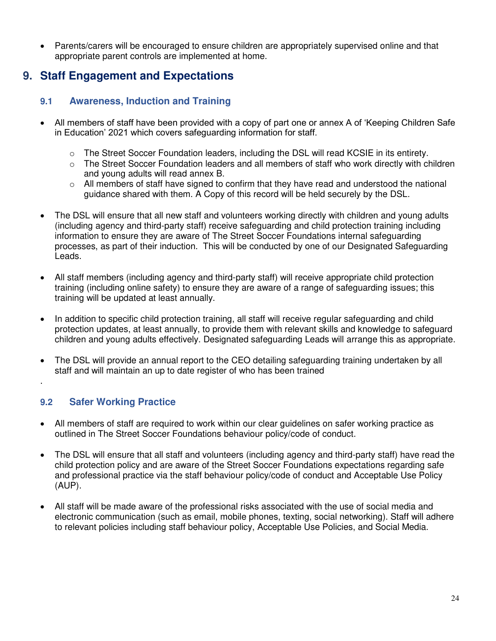Parents/carers will be encouraged to ensure children are appropriately supervised online and that appropriate parent controls are implemented at home.

# <span id="page-23-0"></span>**9. Staff Engagement and Expectations**

# **9.1 Awareness, Induction and Training**

- All members of staff have been provided with a copy of part one or annex A of 'Keeping Children Safe in Education' 2021 which covers safeguarding information for staff.
	- o The Street Soccer Foundation leaders, including the DSL will read KCSIE in its entirety.
	- $\circ$  The Street Soccer Foundation leaders and all members of staff who work directly with children and young adults will read annex B.
	- $\circ$  All members of staff have signed to confirm that they have read and understood the national guidance shared with them. A Copy of this record will be held securely by the DSL*.*
- The DSL will ensure that all new staff and volunteers working directly with children and young adults (including agency and third-party staff) receive safeguarding and child protection training including information to ensure they are aware of The Street Soccer Foundations internal safeguarding processes, as part of their induction. This will be conducted by one of our Designated Safeguarding Leads.
- All staff members (including agency and third-party staff) will receive appropriate child protection training (including online safety) to ensure they are aware of a range of safeguarding issues; this training will be updated at least annually.
- In addition to specific child protection training, all staff will receive regular safeguarding and child protection updates, at least annually, to provide them with relevant skills and knowledge to safeguard children and young adults effectively. Designated safeguarding Leads will arrange this as appropriate.
- The DSL will provide an annual report to the CEO detailing safeguarding training undertaken by all staff and will maintain an up to date register of who has been trained

# **9.2 Safer Working Practice**

.

- All members of staff are required to work within our clear guidelines on safer working practice as outlined in The Street Soccer Foundations behaviour policy/code of conduct.
- The DSL will ensure that all staff and volunteers (including agency and third-party staff) have read the child protection policy and are aware of the Street Soccer Foundations expectations regarding safe and professional practice via the staff behaviour policy/code of conduct and Acceptable Use Policy (AUP).
- All staff will be made aware of the professional risks associated with the use of social media and electronic communication (such as email, mobile phones, texting, social networking). Staff will adhere to relevant policies including staff behaviour policy, Acceptable Use Policies, and Social Media.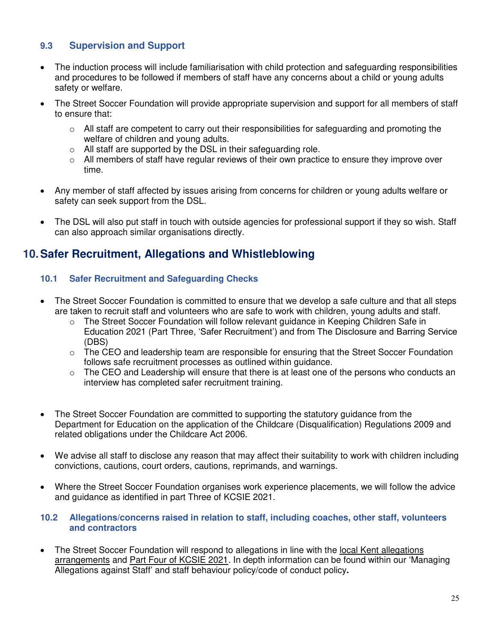# **9.3 Supervision and Support**

- The induction process will include familiarisation with child protection and safeguarding responsibilities and procedures to be followed if members of staff have any concerns about a child or young adults safety or welfare.
- The Street Soccer Foundation will provide appropriate supervision and support for all members of staff to ensure that:
	- o All staff are competent to carry out their responsibilities for safeguarding and promoting the welfare of children and young adults.
	- $\circ$  All staff are supported by the DSL in their safeguarding role.
	- $\circ$  All members of staff have regular reviews of their own practice to ensure they improve over time.
- Any member of staff affected by issues arising from concerns for children or young adults welfare or safety can seek support from the DSL.
- The DSL will also put staff in touch with outside agencies for professional support if they so wish. Staff can also approach similar organisations directly.

# <span id="page-24-0"></span>**10.Safer Recruitment, Allegations and Whistleblowing**

# **10.1 Safer Recruitment and Safeguarding Checks**

- The Street Soccer Foundation is committed to ensure that we develop a safe culture and that all steps are taken to recruit staff and volunteers who are safe to work with children, young adults and staff.
	- o The Street Soccer Foundation will follow relevant guidance in Keeping Children Safe in Education 2021 (Part Three, 'Safer Recruitment') and from The Disclosure and Barring Service (DBS)
	- $\circ$  The CEO and leadership team are responsible for ensuring that the Street Soccer Foundation follows safe recruitment processes as outlined within guidance.
	- $\circ$  The CEO and Leadership will ensure that there is at least one of the persons who conducts an interview has completed safer recruitment training.
- The Street Soccer Foundation are committed to supporting the statutory guidance from the Department for Education on the application of the Childcare (Disqualification) Regulations 2009 and related obligations under the Childcare Act 2006.
- We advise all staff to disclose any reason that may affect their suitability to work with children including convictions, cautions, court orders, cautions, reprimands, and warnings.
- Where the Street Soccer Foundation organises work experience placements, we will follow the advice and guidance as identified in part Three of KCSIE 2021.

#### **10.2 Allegations/concerns raised in relation to staff, including coaches, other staff, volunteers and contractors**

 The Street Soccer Foundation will respond to allegations in line with the [local Kent allegations](https://www.kscmp.org.uk/procedures/local-authority-designated-officer-lado)  [arrangements](https://www.kscmp.org.uk/procedures/local-authority-designated-officer-lado) and [Part Four of KCSIE 2021.](https://www.gov.uk/government/publications/keeping-children-safe-in-education--2) In depth information can be found within our 'Managing Allegations against Staff' and staff behaviour policy/code of conduct policy**.**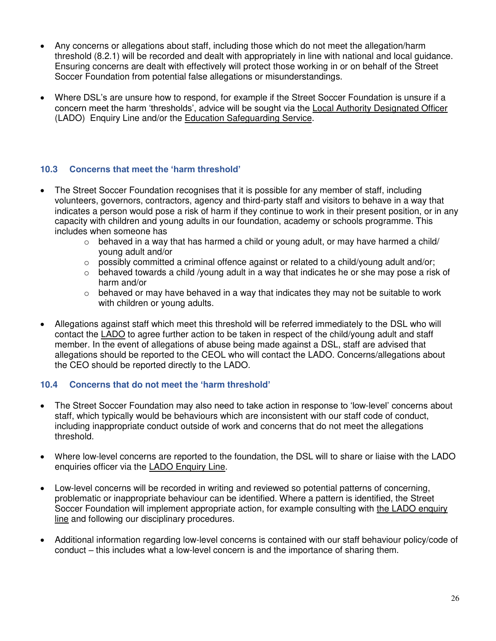- Any concerns or allegations about staff, including those which do not meet the allegation/harm threshold (8.2.1) will be recorded and dealt with appropriately in line with national and local guidance. Ensuring concerns are dealt with effectively will protect those working in or on behalf of the Street Soccer Foundation from potential false allegations or misunderstandings.
- Where DSL's are unsure how to respond, for example if the Street Soccer Foundation is unsure if a concern meet the harm 'thresholds', advice will be sought via the [Local Authority Designated Officer](https://www.kscmp.org.uk/procedures/local-authority-designated-officer-lado)  (LADO) Enquiry Line and/or the [Education Safeguarding Service.](https://www.theeducationpeople.org/our-expertise/safeguarding/safeguarding-contacts/)

# **10.3 Concerns that meet the 'harm threshold'**

- The Street Soccer Foundation recognises that it is possible for any member of staff, including volunteers, governors, contractors, agency and third-party staff and visitors to behave in a way that indicates a person would pose a risk of harm if they continue to work in their present position, or in any capacity with children and young adults in our foundation, academy or schools programme. This includes when someone has
	- $\circ$  behaved in a way that has harmed a child or young adult, or may have harmed a child/ young adult and/or
	- $\circ$  possibly committed a criminal offence against or related to a child/young adult and/or;
	- $\circ$  behaved towards a child /young adult in a way that indicates he or she may pose a risk of harm and/or
	- $\circ$  behaved or may have behaved in a way that indicates they may not be suitable to work with children or young adults.
- Allegations against staff which meet this threshold will be referred immediately to the DSL who will contact the [LADO](https://www.kscmp.org.uk/procedures/local-authority-designated-officer-lado) to agree further action to be taken in respect of the child/young adult and staff member. In the event of allegations of abuse being made against a DSL, staff are advised that allegations should be reported to the CEOL who will contact the LADO. Concerns/allegations about the CEO should be reported directly to the LADO.

# **10.4 Concerns that do not meet the 'harm threshold'**

- The Street Soccer Foundation may also need to take action in response to 'low-level' concerns about staff, which typically would be behaviours which are inconsistent with our staff code of conduct, including inappropriate conduct outside of work and concerns that do not meet the allegations threshold.
- Where low-level concerns are reported to the foundation, the DSL will to share or liaise with the LADO enquiries officer via the [LADO Enquiry Line.](https://eur01.safelinks.protection.outlook.com/?url=https%3A%2F%2Fwww.kscmp.org.uk%2Fprocedures%2Flocal-authority-designated-officer-lado&data=04%7C01%7CAlison.Watling%40kent.gov.uk%7Cefd47327a4fa4b3a972708d950d61f12%7C3253a20dc7354bfea8b73e6ab37f5f90%7C0%7C0%7C637629703166084747%7CUnknown%7CTWFpbGZsb3d8eyJWIjoiMC4wLjAwMDAiLCJQIjoiV2luMzIiLCJBTiI6Ik1haWwiLCJXVCI6Mn0%3D%7C1000&sdata=gh4qmYZ5N3khjaixDrEVQntTOJ74wGAlZxO%2FQDEudf0%3D&reserved=0)
- Low-level concerns will be recorded in writing and reviewed so potential patterns of concerning, problematic or inappropriate behaviour can be identified. Where a pattern is identified, the Street Soccer Foundation will implement appropriate action, for example consulting with [the LADO enquiry](https://www.kscmp.org.uk/procedures/local-authority-designated-officer-lado)  [line](https://www.kscmp.org.uk/procedures/local-authority-designated-officer-lado) and following our disciplinary procedures.
- Additional information regarding low-level concerns is contained with our staff behaviour policy/code of conduct – this includes what a low-level concern is and the importance of sharing them.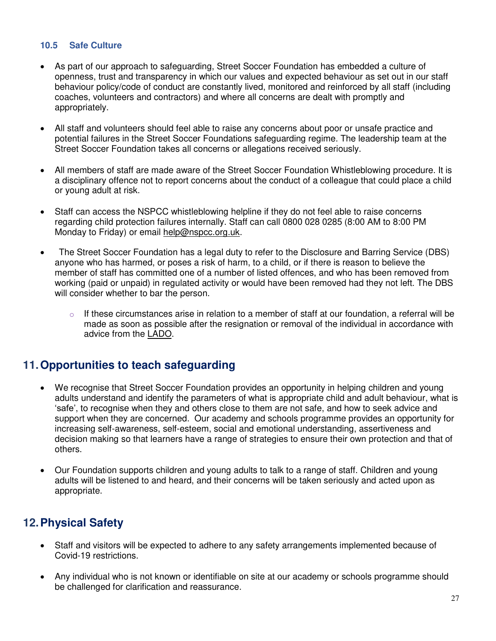#### **10.5 Safe Culture**

- As part of our approach to safeguarding, Street Soccer Foundation has embedded a culture of openness, trust and transparency in which our values and expected behaviour as set out in our staff behaviour policy/code of conduct are constantly lived, monitored and reinforced by all staff (including coaches, volunteers and contractors) and where all concerns are dealt with promptly and appropriately.
- All staff and volunteers should feel able to raise any concerns about poor or unsafe practice and potential failures in the Street Soccer Foundations safeguarding regime. The leadership team at the Street Soccer Foundation takes all concerns or allegations received seriously.
- All members of staff are made aware of the Street Soccer Foundation Whistleblowing procedure. It is a disciplinary offence not to report concerns about the conduct of a colleague that could place a child or young adult at risk.
- Staff can access the NSPCC whistleblowing helpline if they do not feel able to raise concerns regarding child protection failures internally. Staff can call 0800 028 0285 (8:00 AM to 8:00 PM Monday to Friday) or email [help@nspcc.org.uk.](mailto:help@nspcc.org.uk)
- The Street Soccer Foundation has a legal duty to refer to the Disclosure and Barring Service (DBS) anyone who has harmed, or poses a risk of harm, to a child, or if there is reason to believe the member of staff has committed one of a number of listed offences, and who has been removed from working (paid or unpaid) in regulated activity or would have been removed had they not left. The DBS will consider whether to bar the person.
	- $\circ$  If these circumstances arise in relation to a member of staff at our foundation, a referral will be made as soon as possible after the resignation or removal of the individual in accordance with advice from the [LADO.](https://www.kscmp.org.uk/procedures/local-authority-designated-officer-lado)

# <span id="page-26-0"></span>**11.Opportunities to teach safeguarding**

- We recognise that Street Soccer Foundation provides an opportunity in helping children and young adults understand and identify the parameters of what is appropriate child and adult behaviour, what is 'safe', to recognise when they and others close to them are not safe, and how to seek advice and support when they are concerned. Our academy and schools programme provides an opportunity for increasing self-awareness, self-esteem, social and emotional understanding, assertiveness and decision making so that learners have a range of strategies to ensure their own protection and that of others.
- Our Foundation supports children and young adults to talk to a range of staff. Children and young adults will be listened to and heard, and their concerns will be taken seriously and acted upon as appropriate.

# <span id="page-26-1"></span>**12.Physical Safety**

- Staff and visitors will be expected to adhere to any safety arrangements implemented because of Covid-19 restrictions.
- Any individual who is not known or identifiable on site at our academy or schools programme should be challenged for clarification and reassurance.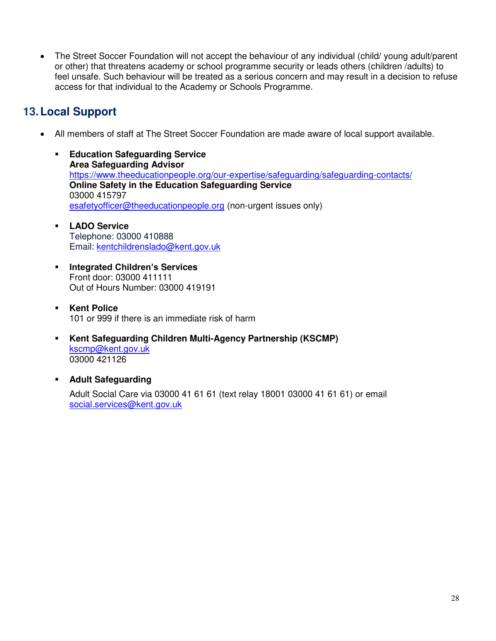The Street Soccer Foundation will not accept the behaviour of any individual (child/ young adult/parent or other) that threatens academy or school programme security or leads others (children /adults) to feel unsafe. Such behaviour will be treated as a serious concern and may result in a decision to refuse access for that individual to the Academy or Schools Programme.

# <span id="page-27-0"></span>**13.Local Support**

- All members of staff at The Street Soccer Foundation are made aware of local support available.
	- **Education Safeguarding Service Area Safeguarding Advisor**  <https://www.theeducationpeople.org/our-expertise/safeguarding/safeguarding-contacts/> **Online Safety in the Education Safeguarding Service** 03000 415797 [esafetyofficer@theeducationpeople.org](mailto:esafetyofficer@theeducationpeople.org) (non-urgent issues only)
	- **LADO Service** Telephone: 03000 410888 Email: [kentchildrenslado@kent.gov.uk](mailto:kentchildrenslado@kent.gov.uk)
	- **Integrated Children's Services**  Front door: 03000 411111 Out of Hours Number: 03000 419191
	- **Kent Police** 101 or 999 if there is an immediate risk of harm
	- **Kent Safeguarding Children Multi-Agency Partnership (KSCMP)** [kscmp@kent.gov.uk](mailto:kscmp@kent.gov.uk) 03000 421126
	- **Adult Safeguarding**

Adult Social Care via 03000 41 61 61 (text relay 18001 03000 41 61 61) or email [social.services@kent.gov.uk](mailto:social.services@kent.gov.uk)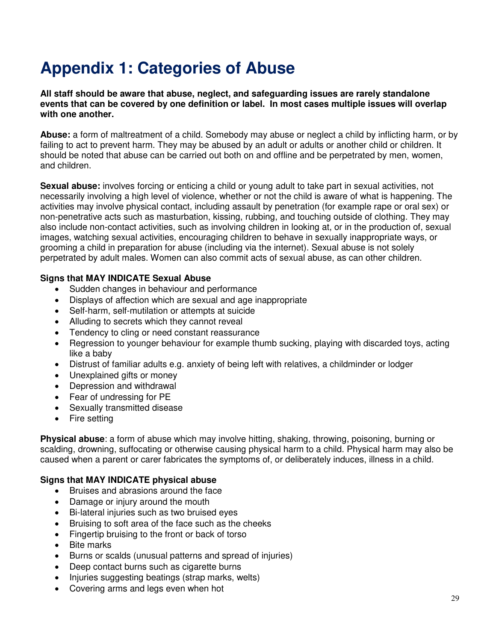# <span id="page-28-0"></span>**Appendix 1: Categories of Abuse**

**All staff should be aware that abuse, neglect, and safeguarding issues are rarely standalone events that can be covered by one definition or label. In most cases multiple issues will overlap with one another.**

**Abuse:** a form of maltreatment of a child. Somebody may abuse or neglect a child by inflicting harm, or by failing to act to prevent harm. They may be abused by an adult or adults or another child or children. It should be noted that abuse can be carried out both on and offline and be perpetrated by men, women, and children.

**Sexual abuse:** involves forcing or enticing a child or young adult to take part in sexual activities, not necessarily involving a high level of violence, whether or not the child is aware of what is happening. The activities may involve physical contact, including assault by penetration (for example rape or oral sex) or non-penetrative acts such as masturbation, kissing, rubbing, and touching outside of clothing. They may also include non-contact activities, such as involving children in looking at, or in the production of, sexual images, watching sexual activities, encouraging children to behave in sexually inappropriate ways, or grooming a child in preparation for abuse (including via the internet). Sexual abuse is not solely perpetrated by adult males. Women can also commit acts of sexual abuse, as can other children.

#### **Signs that MAY INDICATE Sexual Abuse**

- Sudden changes in behaviour and performance
- Displays of affection which are sexual and age inappropriate
- Self-harm, self-mutilation or attempts at suicide
- Alluding to secrets which they cannot reveal
- Tendency to cling or need constant reassurance
- Regression to younger behaviour for example thumb sucking, playing with discarded toys, acting like a baby
- Distrust of familiar adults e.g. anxiety of being left with relatives, a childminder or lodger
- Unexplained gifts or money
- Depression and withdrawal
- Fear of undressing for PE
- Sexually transmitted disease
- Fire setting

**Physical abuse**: a form of abuse which may involve hitting, shaking, throwing, poisoning, burning or scalding, drowning, suffocating or otherwise causing physical harm to a child. Physical harm may also be caused when a parent or carer fabricates the symptoms of, or deliberately induces, illness in a child.

#### **Signs that MAY INDICATE physical abuse**

- Bruises and abrasions around the face
- Damage or injury around the mouth
- Bi-lateral injuries such as two bruised eyes
- Bruising to soft area of the face such as the cheeks
- Fingertip bruising to the front or back of torso
- Bite marks
- Burns or scalds (unusual patterns and spread of injuries)
- Deep contact burns such as cigarette burns
- Injuries suggesting beatings (strap marks, welts)
- Covering arms and legs even when hot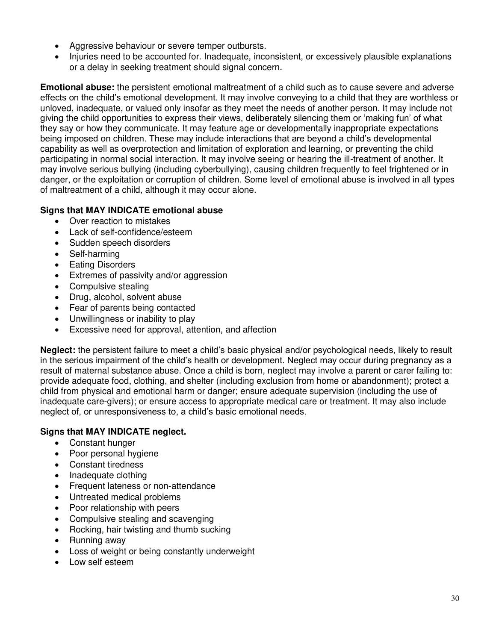- Aggressive behaviour or severe temper outbursts.
- Injuries need to be accounted for. Inadequate, inconsistent, or excessively plausible explanations or a delay in seeking treatment should signal concern.

**Emotional abuse:** the persistent emotional maltreatment of a child such as to cause severe and adverse effects on the child's emotional development. It may involve conveying to a child that they are worthless or unloved, inadequate, or valued only insofar as they meet the needs of another person. It may include not giving the child opportunities to express their views, deliberately silencing them or 'making fun' of what they say or how they communicate. It may feature age or developmentally inappropriate expectations being imposed on children. These may include interactions that are beyond a child's developmental capability as well as overprotection and limitation of exploration and learning, or preventing the child participating in normal social interaction. It may involve seeing or hearing the ill-treatment of another. It may involve serious bullying (including cyberbullying), causing children frequently to feel frightened or in danger, or the exploitation or corruption of children. Some level of emotional abuse is involved in all types of maltreatment of a child, although it may occur alone.

# **Signs that MAY INDICATE emotional abuse**

- Over reaction to mistakes
- Lack of self-confidence/esteem
- Sudden speech disorders
- Self-harming
- Eating Disorders
- Extremes of passivity and/or aggression
- Compulsive stealing
- Drug, alcohol, solvent abuse
- Fear of parents being contacted
- Unwillingness or inability to play
- Excessive need for approval, attention, and affection

**Neglect:** the persistent failure to meet a child's basic physical and/or psychological needs, likely to result in the serious impairment of the child's health or development. Neglect may occur during pregnancy as a result of maternal substance abuse. Once a child is born, neglect may involve a parent or carer failing to: provide adequate food, clothing, and shelter (including exclusion from home or abandonment); protect a child from physical and emotional harm or danger; ensure adequate supervision (including the use of inadequate care-givers); or ensure access to appropriate medical care or treatment. It may also include neglect of, or unresponsiveness to, a child's basic emotional needs.

# **Signs that MAY INDICATE neglect.**

- Constant hunger
- Poor personal hygiene
- Constant tiredness
- Inadequate clothing
- Frequent lateness or non-attendance
- Untreated medical problems
- Poor relationship with peers
- Compulsive stealing and scavenging
- Rocking, hair twisting and thumb sucking
- Running away
- Loss of weight or being constantly underweight
- Low self esteem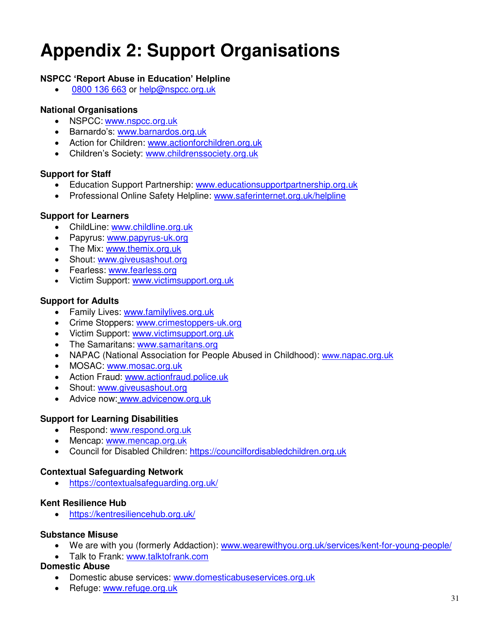# <span id="page-30-0"></span>**Appendix 2: Support Organisations**

# **NSPCC 'Report Abuse in Education' Helpline**

• [0800 136 663](tel:0800%20136%20663) or [help@nspcc.org.uk](mailto:help@nspcc.org.uk)

# **National Organisations**

- NSPCC: www.nspcc.org.uk
- Barnardo's: [www.barnardos.org.uk](http://www.barnardos.org.uk/)
- Action for Children: [www.actionforchildren.org.uk](http://www.actionforchildren.org.uk/)
- Children's Society: [www.childrenssociety.org.uk](http://www.childrenssociety.org.uk/)

# **Support for Staff**

- Education Support Partnership: [www.educationsupportpartnership.org.uk](http://www.educationsupportpartnership.org.uk/)
- Professional Online Safety Helpline: www.saferinternet.org.uk/helpline

# **Support for Learners**

- ChildLine: [www.childline.org.uk](http://www.childline.org.uk/)
- Papyrus: www.papyrus-uk.org
- The Mix: [www.themix.org.uk](http://www.themix.org.uk/)
- Shout: [www.giveusashout.org](http://www.giveusashout.org/)
- Fearless: [www.fearless.org](http://www.fearless.org/)
- Victim Support: www.victimsupport.org.uk

# **Support for Adults**

- Family Lives: [www.familylives.org.uk](http://www.familylives.org.uk/)
- Crime Stoppers: [www.crimestoppers-uk.org](http://www.crimestoppers-uk.org/)
- Victim Support: [www.victimsupport.org.uk](http://www.victimsupport.org.uk/)
- The Samaritans: www.samaritans.org
- NAPAC (National Association for People Abused in Childhood): www.napac.org.uk
- MOSAC: [www.mosac.org.uk](http://www.mosac.org.uk/)
- Action Fraud: [www.actionfraud.police.uk](http://www.actionfraud.police.uk/)
- Shout: [www.giveusashout.org](http://www.giveusashout.org/)
- Advice now: www.advicenow.org.uk

# **Support for Learning Disabilities**

- Respond: www.respond.org.uk
- Mencap: www.mencap.org.uk
- Council for Disabled Children: [https://councilfordisabledchildren.org.uk](https://councilfordisabledchildren.org.uk/)

# **Contextual Safeguarding Network**

<https://contextualsafeguarding.org.uk/>

# **Kent Resilience Hub**

<https://kentresiliencehub.org.uk/>

#### **Substance Misuse**

- We are with you (formerly Addaction): [www.wearewithyou.org.uk/services/kent-for-young-people/](http://www.wearewithyou.org.uk/services/kent-for-young-people/)
- Talk to Frank: [www.talktofrank.com](http://www.talktofrank.com/)

#### **Domestic Abuse**

- Domestic abuse services: [www.domesticabuseservices.org.uk](http://www.domesticabuseservices.org.uk/)
- Refuge: www.refuge.org.uk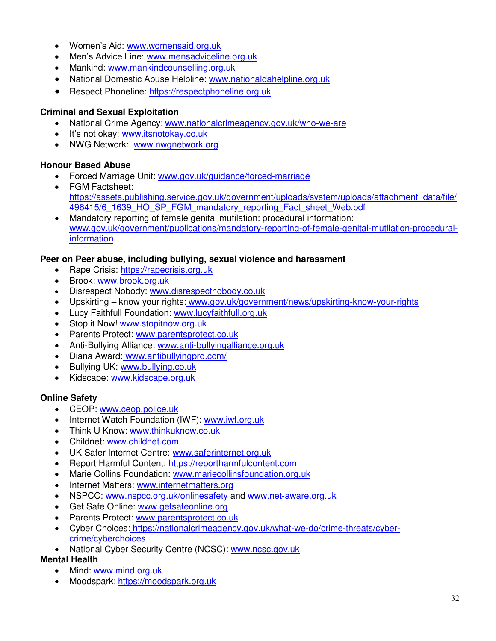- Women's Aid: [www.womensaid.org.uk](http://www.womensaid.org.uk/)
- Men's Advice Line: [www.mensadviceline.org.uk](http://www.mensadviceline.org.uk/)
- Mankind: [www.mankindcounselling.org.uk](http://www.mankindcounselling.org.uk/)
- National Domestic Abuse Helpline: [www.nationaldahelpline.org.uk](http://www.nationaldahelpline.org.uk/)
- Respect Phoneline: [https://respectphoneline.org.uk](https://respectphoneline.org.uk/)

# **Criminal and Sexual Exploitation**

- National Crime Agency: [www.nationalcrimeagency.gov.uk/who-we-are](http://www.nationalcrimeagency.gov.uk/who-we-are)
- It's not okay: www.itsnotokay.co.uk
- NWG Network: www.nwgnetwork.org

# **Honour Based Abuse**

- Forced Marriage Unit: [www.gov.uk/guidance/forced-marriage](http://www.gov.uk/guidance/forced-marriage)
- FGM Factsheet: [https://assets.publishing.service.gov.uk/government/uploads/system/uploads/attachment\\_data/file/](https://assets.publishing.service.gov.uk/government/uploads/system/uploads/attachment_data/file/496415/6_1639_HO_SP_FGM_mandatory_reporting_Fact_sheet_Web.pdf) [496415/6\\_1639\\_HO\\_SP\\_FGM\\_mandatory\\_reporting\\_Fact\\_sheet\\_Web.pdf](https://assets.publishing.service.gov.uk/government/uploads/system/uploads/attachment_data/file/496415/6_1639_HO_SP_FGM_mandatory_reporting_Fact_sheet_Web.pdf)
- Mandatory reporting of female genital mutilation: procedural information: [www.gov.uk/government/publications/mandatory-reporting-of-female-genital-mutilation-procedural](http://www.gov.uk/government/publications/mandatory-reporting-of-female-genital-mutilation-procedural-information)[information](http://www.gov.uk/government/publications/mandatory-reporting-of-female-genital-mutilation-procedural-information)

# **Peer on Peer abuse, including bullying, sexual violence and harassment**

- Rape Crisis: [https://rapecrisis.org.uk](https://rapecrisis.org.uk/)
- Brook: [www.brook.org.uk](http://www.brook.org.uk/)
- Disrespect Nobody: [www.disrespectnobody.co.uk](http://www.disrespectnobody.co.uk/)
- Upskirting know your rights: [www.gov.uk/government/news/upskirting-know-your-rights](http://www.gov.uk/government/news/upskirting-know-your-rights)
- Lucy Faithfull Foundation: [www.lucyfaithfull.org.uk](http://www.lucyfaithfull.org.uk/)
- Stop it Now! [www.stopitnow.org.uk](http://www.stopitnow.org.uk/)
- Parents Protect: [www.parentsprotect.co.uk](http://www.parentsprotect.co.uk/)
- Anti-Bullying Alliance: [www.anti-bullyingalliance.org.uk](http://www.anti-bullyingalliance.org.uk/)
- Diana Award: [www.antibullyingpro.com/](http://www.antibullyingpro.com/)
- Bullying UK: www.bullying.co.uk
- Kidscape: www.kidscape.org.uk

# **Online Safety**

- CEOP: [www.ceop.police.uk](http://www.ceop.police.uk/)
- Internet Watch Foundation (IWF): [www.iwf.org.uk](http://www.iwf.org.uk/)
- Think U Know: [www.thinkuknow.co.uk](http://www.thinkuknow.co.uk/)
- Childnet: [www.childnet.com](http://www.childnet.com/)
- UK Safer Internet Centre: [www.saferinternet.org.uk](http://www.saferinternet.org.uk/)
- Report Harmful Content: [https://reportharmfulcontent.com](https://reportharmfulcontent.com/)
- Marie Collins Foundation: [www.mariecollinsfoundation.org.uk](http://www.mariecollinsfoundation.org.uk/)
- Internet Matters: [www.internetmatters.org](http://www.internetmatters.org/)
- NSPCC: [www.nspcc.org.uk/onlinesafety](http://www.nspcc.org.uk/onlinesafety) and [www.net-aware.org.uk](http://www.net-aware.org.uk/)
- Get Safe Online: [www.getsafeonline.org](https://www.getsafeonline.org/)
- Parents Protect: [www.parentsprotect.co.uk](http://www.parentsprotect.co.uk/)
- Cyber Choices: [https://nationalcrimeagency.gov.uk/what-we-do/crime-threats/cyber](https://nationalcrimeagency.gov.uk/what-we-do/crime-threats/cyber-crime/cyberchoices)[crime/cyberchoices](https://nationalcrimeagency.gov.uk/what-we-do/crime-threats/cyber-crime/cyberchoices)
- National Cyber Security Centre (NCSC): [www.ncsc.gov.uk](http://www.ncsc.gov.uk/)

# **Mental Health**

- Mind: [www.mind.org.uk](http://www.mind.org.uk/)
- Moodspark: https://moodspark.org.uk